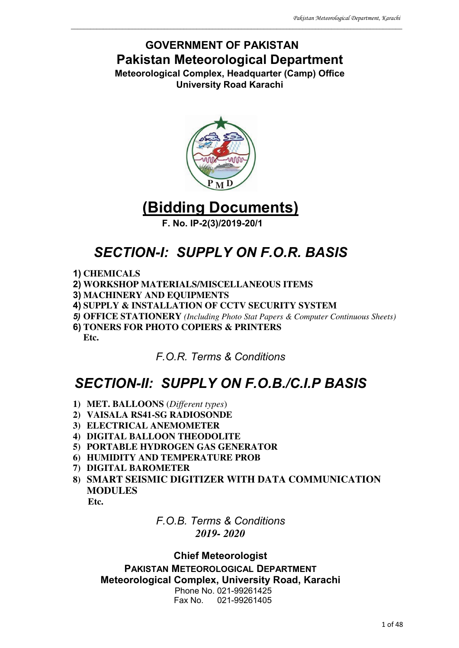# **GOVERNMENT OF PAKISTAN Pakistan Meteorological Department**

\_\_\_\_\_\_\_\_\_\_\_\_\_\_\_\_\_\_\_\_\_\_\_\_\_\_\_\_\_\_\_\_\_\_\_\_\_\_\_\_\_\_\_\_\_\_\_\_\_\_\_\_\_\_\_\_\_\_\_\_\_\_\_\_\_\_\_\_\_\_\_\_\_\_\_\_\_\_\_\_\_\_\_\_\_\_\_\_\_\_\_\_\_\_\_\_\_\_\_\_\_\_\_

**Meteorological Complex, Headquarter (Camp) Office University Road Karachi** 



# **(Bidding Documents)**

 **F. No. IP-2(3)/2019-20/1** 

# *SECTION-I: SUPPLY ON F.O.R. BASIS*

**1) CHEMICALS** 

- **2) WORKSHOP MATERIALS/MISCELLANEOUS ITEMS**
- **3) MACHINERY AND EQUIPMENTS**
- **4) SUPPLY & INSTALLATION OF CCTV SECURITY SYSTEM**
- *5)* **OFFICE STATIONERY** *(Including Photo Stat Papers & Computer Continuous Sheets)*
- **6) TONERS FOR PHOTO COPIERS & PRINTERS Etc.**

*F.O.R. Terms & Conditions* 

# *SECTION-II: SUPPLY ON F.O.B./C.I.P BASIS*

- **1) MET. BALLOONS** (*Different types*)
- **2) VAISALA RS41-SG RADIOSONDE**
- **3) ELECTRICAL ANEMOMETER**
- **4) DIGITAL BALLOON THEODOLITE**
- **5) PORTABLE HYDROGEN GAS GENERATOR**
- **6) HUMIDITY AND TEMPERATURE PROB**
- **7) DIGITAL BAROMETER**
- **8) SMART SEISMIC DIGITIZER WITH DATA COMMUNICATION MODULES**

 **Etc.** 

# *F.O.B. Terms & Conditions 2019- 2020*

**Chief Meteorologist**

**PAKISTAN METEOROLOGICAL DEPARTMENT Meteorological Complex, University Road, Karachi**  Phone No. 021-99261425 Fax No. 021-99261405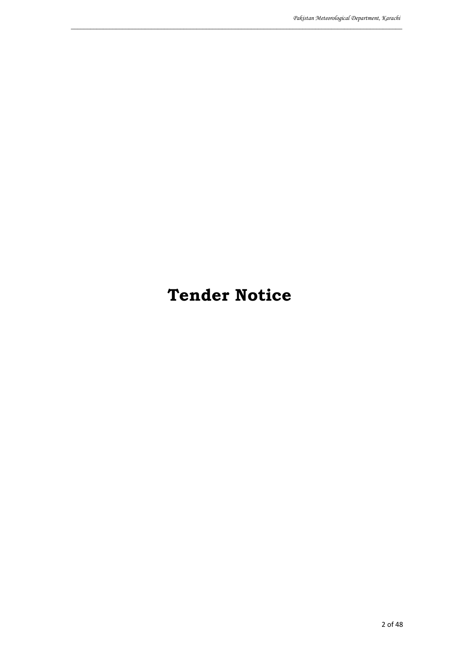# **Tender Notice**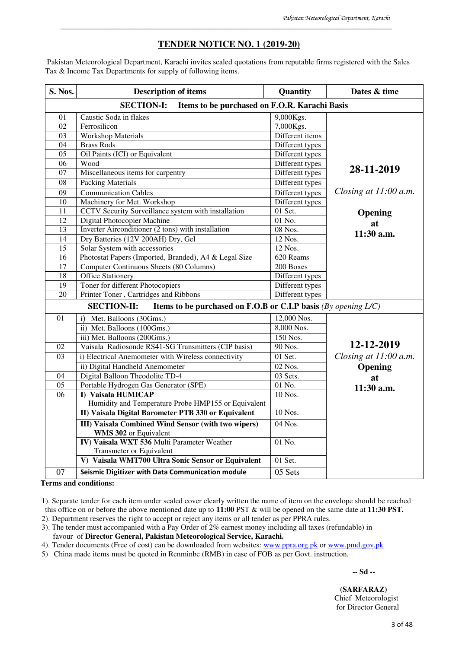#### **TENDER NOTICE NO. 1 (2019-20)**

\_\_\_\_\_\_\_\_\_\_\_\_\_\_\_\_\_\_\_\_\_\_\_\_\_\_\_\_\_\_\_\_\_\_\_\_\_\_\_\_\_\_\_\_\_\_\_\_\_\_\_\_\_\_\_\_\_\_\_\_\_\_\_\_\_\_\_\_\_\_\_\_\_\_\_\_\_\_\_\_\_\_\_\_\_\_\_\_\_\_\_\_\_\_\_\_\_\_\_\_\_\_\_

 Pakistan Meteorological Department, Karachi invites sealed quotations from reputable firms registered with the Sales Tax & Income Tax Departments for supply of following items.

| S. Nos.         | <b>Description of items</b>                                                          | Quantity        | Dates & time            |
|-----------------|--------------------------------------------------------------------------------------|-----------------|-------------------------|
|                 | <b>SECTION-I:</b><br>Items to be purchased on F.O.R. Karachi Basis                   |                 |                         |
| 01              | Caustic Soda in flakes                                                               | 9,000Kgs.       |                         |
| $\overline{02}$ | Ferrosilicon                                                                         | 7,000Kgs.       |                         |
| $\overline{03}$ | <b>Workshop Materials</b>                                                            | Different items |                         |
| 04              | <b>Brass Rods</b>                                                                    | Different types |                         |
| $\overline{05}$ | Oil Paints (ICI) or Equivalent                                                       | Different types |                         |
| 06              | Wood                                                                                 | Different types |                         |
| 07              | Miscellaneous items for carpentry                                                    | Different types | 28-11-2019              |
| 08              | <b>Packing Materials</b>                                                             | Different types |                         |
| 09              | <b>Communication Cables</b>                                                          | Different types | Closing at $11:00$ a.m. |
| 10              | Machinery for Met. Workshop                                                          | Different types |                         |
| 11              | CCTV Security Surveillance system with installation                                  | 01 Set.         | Opening                 |
| 12              | Digital Photocopier Machine                                                          | 01 No.          | at                      |
| 13              | Inverter Airconditioner (2 tons) with installation                                   | 08 Nos.         | $11:30$ a.m.            |
| 14              | Dry Batteries (12V 200AH) Dry, Gel                                                   | 12 Nos.         |                         |
| 15              | Solar System with accessories                                                        | 12 Nos.         |                         |
| 16              | Photostat Papers (Imported, Branded), A4 & Legal Size                                | 620 Reams       |                         |
| 17              | Computer Continuous Sheets (80 Columns)                                              | 200 Boxes       |                         |
| 18              | <b>Office Stationery</b>                                                             | Different types |                         |
| 19              | Toner for different Photocopiers                                                     | Different types |                         |
| 20              | Printer Toner, Cartridges and Ribbons                                                | Different types |                         |
|                 | <b>SECTION-II:</b><br>Items to be purchased on F.O.B or C.I.P basis (By opening L/C) |                 |                         |
| 01              | Met. Balloons (30Gms.)<br>i)                                                         | 12,000 Nos.     |                         |
|                 | ii) Met. Balloons (100Gms.)                                                          | 8,000 Nos.      |                         |
|                 | iii) Met. Balloons (200Gms.)                                                         | 150 Nos.        |                         |
| 02              | Vaisala Radiosonde RS41-SG Transmitters (CIP basis)                                  | 90 Nos.         | 12-12-2019              |
| 03              | i) Electrical Anemometer with Wireless connectivity                                  | 01 Set.         | Closing at $11:00$ a.m. |
|                 | ii) Digital Handheld Anemometer                                                      | 02 Nos.         | Opening                 |
| 04              | Digital Balloon Theodolite TD-4                                                      | 03 Sets.        | at                      |
| 05              | Portable Hydrogen Gas Generator (SPE)                                                | 01 No.          | 11:30 a.m.              |
| 06              | <b>I) Vaisala HUMICAP</b>                                                            | 10 Nos.         |                         |
|                 | Humidity and Temperature Probe HMP155 or Equivalent                                  |                 |                         |
|                 | II) Vaisala Digital Barometer PTB 330 or Equivalent                                  | 10 Nos.         |                         |
|                 | III) Vaisala Combined Wind Sensor (with two wipers)                                  | 04 Nos.         |                         |
|                 | WMS 302 or Equivalent                                                                |                 |                         |
|                 | IV) Vaisala WXT 536 Multi Parameter Weather                                          | 01 No.          |                         |
|                 | Transmeter or Equivalent                                                             |                 |                         |
|                 | V) Vaisala WMT700 Ultra Sonic Sensor or Equivalent                                   | 01 Set.         |                         |
| 07              | Seismic Digitizer with Data Communication module                                     | 05 Sets         |                         |

 **Terms and conditions:** 

1). Separate tender for each item under sealed cover clearly written the name of item on the envelope should be reached this office on or before the above mentioned date up to **11:00** PST & will be opened on the same date at **11:30 PST.**

2). Department reserves the right to accept or reject any items or all tender as per PPRA rules.

- 3). The tender must accompanied with a Pay Order of 2% earnest money including all taxes (refundable) in favour of **Director General, Pakistan Meteorological Service, Karachi.**
- 4). Tender documents (Free of cost) can be downloaded from websites: [www.ppra.org.pk](http://www.ppra.org.pk/) o[r www.pmd.gov.pk](http://www.pmd.gov.pk/)
- 5) China made items must be quoted in Renminbe (RMB) in case of FOB as per Govt. instruction.

 **-- Sd --**

 **(SARFARAZ)**  Chief Meteorologist for Director General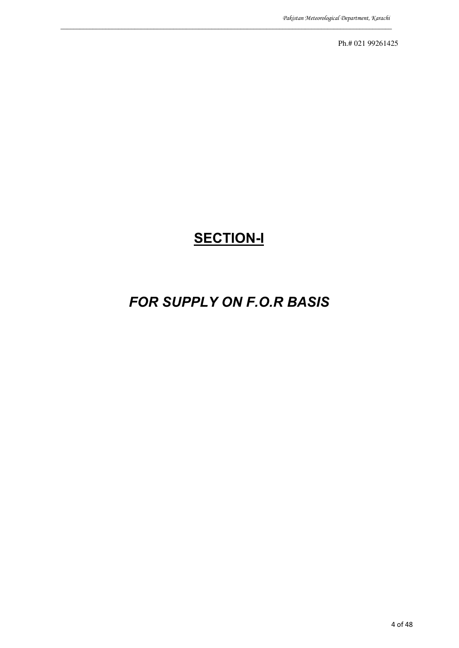Ph.# 021 99261425

# **SECTION-I**

\_\_\_\_\_\_\_\_\_\_\_\_\_\_\_\_\_\_\_\_\_\_\_\_\_\_\_\_\_\_\_\_\_\_\_\_\_\_\_\_\_\_\_\_\_\_\_\_\_\_\_\_\_\_\_\_\_\_\_\_\_\_\_\_\_\_\_\_\_\_\_\_\_\_\_\_\_\_\_\_\_\_\_\_\_\_\_\_\_\_\_\_\_\_\_\_\_\_\_\_\_\_\_

# *FOR SUPPLY ON F.O.R BASIS*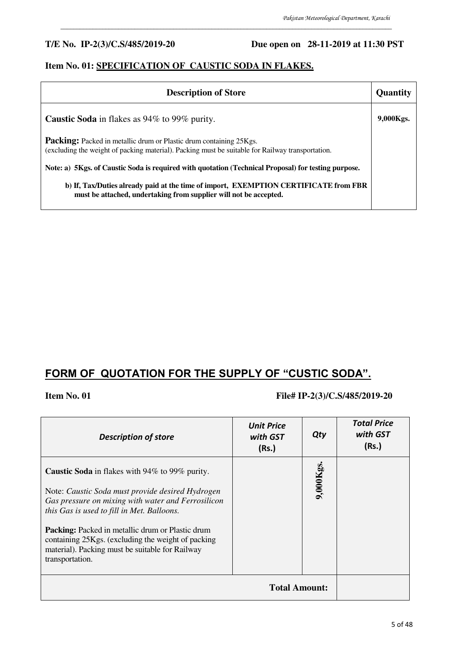### **T/E No. IP-2(3)/C.S/485/2019-20 Due open on 28-11-2019 at 11:30 PST**

### **Item No. 01: SPECIFICATION OF CAUSTIC SODA IN FLAKES.**

| <b>Description of Store</b>                                                                                                                                                   | <b>Quantity</b> |
|-------------------------------------------------------------------------------------------------------------------------------------------------------------------------------|-----------------|
| <b>Caustic Soda</b> in flakes as 94% to 99% purity.                                                                                                                           | 9,000Kgs.       |
| <b>Packing:</b> Packed in metallic drum or Plastic drum containing 25Kgs.<br>(excluding the weight of packing material). Packing must be suitable for Railway transportation. |                 |
| Note: a) 5Kgs. of Caustic Soda is required with quotation (Technical Proposal) for testing purpose.                                                                           |                 |
| b) If, Tax/Duties already paid at the time of import, EXEMPTION CERTIFICATE from FBR<br>must be attached, undertaking from supplier will not be accepted.                     |                 |

\_\_\_\_\_\_\_\_\_\_\_\_\_\_\_\_\_\_\_\_\_\_\_\_\_\_\_\_\_\_\_\_\_\_\_\_\_\_\_\_\_\_\_\_\_\_\_\_\_\_\_\_\_\_\_\_\_\_\_\_\_\_\_\_\_\_\_\_\_\_\_\_\_\_\_\_\_\_\_\_\_\_\_\_\_\_\_\_\_\_\_\_\_\_\_\_\_\_\_\_\_\_\_

## **FORM OF QUOTATION FOR THE SUPPLY OF "CUSTIC SODA".**

### **Item No. 01** File# IP-2(3)/C.S/485/2019-20

| <b>Description of store</b>                                                                                                                                                                                                                                                                                                                                                                          | <b>Unit Price</b><br>with GST<br>(Rs.) | Qty         | <b>Total Price</b><br>with GST<br>(Rs.) |
|------------------------------------------------------------------------------------------------------------------------------------------------------------------------------------------------------------------------------------------------------------------------------------------------------------------------------------------------------------------------------------------------------|----------------------------------------|-------------|-----------------------------------------|
| <b>Caustic Soda</b> in flakes with 94% to 99% purity.<br>Note: Caustic Soda must provide desired Hydrogen<br>Gas pressure on mixing with water and Ferrosilicon<br>this Gas is used to fill in Met. Balloons.<br><b>Packing:</b> Packed in metallic drum or Plastic drum<br>containing 25Kgs. (excluding the weight of packing<br>material). Packing must be suitable for Railway<br>transportation. |                                        | $9,000$ Kgs |                                         |
|                                                                                                                                                                                                                                                                                                                                                                                                      |                                        |             |                                         |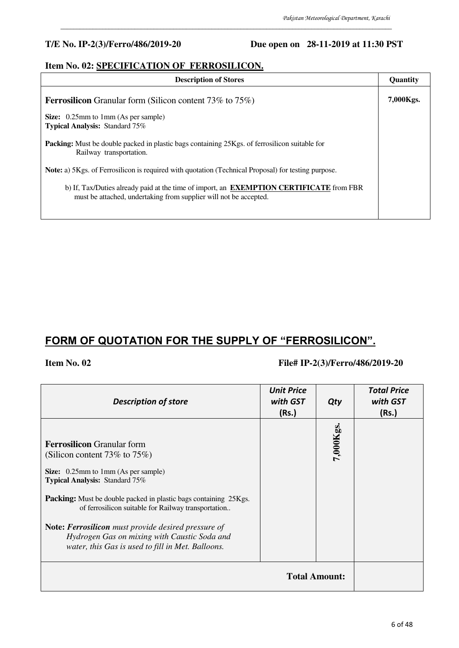#### **T/E No. IP-2(3)/Ferro/486/2019-20 Due open on 28-11-2019 at 11:30 PST**

### Item No. 02: **SPECIFICATION OF FERROSILICON.**

| <b>Description of Stores</b>                                                                                                                                        | Quantity  |
|---------------------------------------------------------------------------------------------------------------------------------------------------------------------|-----------|
| <b>Ferrosilicon</b> Granular form (Silicon content 73% to 75%)                                                                                                      | 7,000Kgs. |
| <b>Size:</b> 0.25mm to 1mm (As per sample)<br><b>Typical Analysis: Standard 75%</b>                                                                                 |           |
| <b>Packing:</b> Must be double packed in plastic bags containing 25Kgs. of ferrosilicon suitable for<br>Railway transportation.                                     |           |
| <b>Note:</b> a) 5Kgs. of Ferrosilicon is required with quotation (Technical Proposal) for testing purpose.                                                          |           |
| b) If, Tax/Duties already paid at the time of import, an <b>EXEMPTION CERTIFICATE</b> from FBR<br>must be attached, undertaking from supplier will not be accepted. |           |

\_\_\_\_\_\_\_\_\_\_\_\_\_\_\_\_\_\_\_\_\_\_\_\_\_\_\_\_\_\_\_\_\_\_\_\_\_\_\_\_\_\_\_\_\_\_\_\_\_\_\_\_\_\_\_\_\_\_\_\_\_\_\_\_\_\_\_\_\_\_\_\_\_\_\_\_\_\_\_\_\_\_\_\_\_\_\_\_\_\_\_\_\_\_\_\_\_\_\_\_\_\_\_

# **FORM OF QUOTATION FOR THE SUPPLY OF "FERROSILICON".**

### **Item No. 02** File# IP-2(3)/Ferro/486/2019-20

| <b>Description of store</b>                                                                                                                                                                                                                                                                                                                                                                                                                              | <b>Unit Price</b><br>with GST<br>(Rs.) | Qty                  | <b>Total Price</b><br>with GST<br>(Rs.) |
|----------------------------------------------------------------------------------------------------------------------------------------------------------------------------------------------------------------------------------------------------------------------------------------------------------------------------------------------------------------------------------------------------------------------------------------------------------|----------------------------------------|----------------------|-----------------------------------------|
| <b>Ferrosilicon Granular form</b><br>(Silicon content 73\% to 75\%)<br><b>Size:</b> 0.25mm to 1mm (As per sample)<br>Typical Analysis: Standard 75%<br><b>Packing:</b> Must be double packed in plastic bags containing 25Kgs.<br>of ferrosilicon suitable for Railway transportation<br><b>Note: Ferrosilicon</b> must provide desired pressure of<br>Hydrogen Gas on mixing with Caustic Soda and<br>water, this Gas is used to fill in Met. Balloons. |                                        | 7,000Kgs             |                                         |
|                                                                                                                                                                                                                                                                                                                                                                                                                                                          |                                        | <b>Total Amount:</b> |                                         |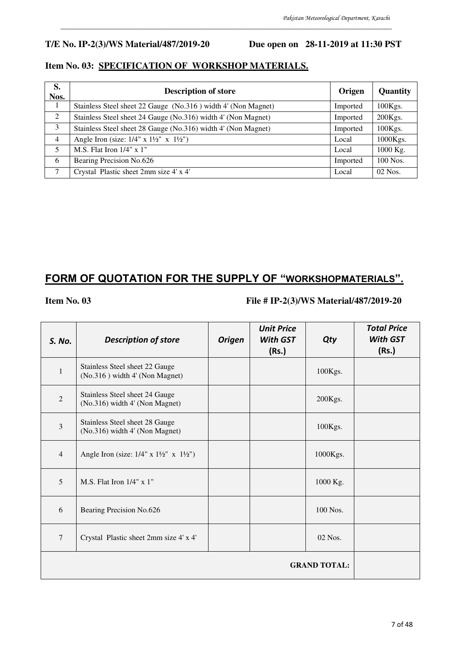#### **T/E No. IP-2(3)/WS Material/487/2019-20 Due open on 28-11-2019 at 11:30 PST**

### **Item No. 03: SPECIFICATION OF WORKSHOP MATERIALS.**

| S.<br>Nos.     | <b>Description of store</b>                                      | Origen   | Quantity  |
|----------------|------------------------------------------------------------------|----------|-----------|
| 1              | Stainless Steel sheet 22 Gauge (No.316) width 4' (Non Magnet)    | Imported | 100Kgs.   |
| 2              | Stainless Steel sheet 24 Gauge (No.316) width 4' (Non Magnet)    | Imported | 200Kgs.   |
| 3              | Stainless Steel sheet 28 Gauge (No.316) width 4' (Non Magnet)    | Imported | 100Kgs.   |
| $\overline{4}$ | Angle Iron (size: $1/4$ " x $1\frac{1}{2}$ " x $1\frac{1}{2}$ ") | Local    | 1000Kgs.  |
| 5              | M.S. Flat Iron $1/4$ " x $1$ "                                   | Local    | 1000 Kg.  |
| 6              | Bearing Precision No.626                                         | Imported | 100 Nos.  |
| 7              | Crystal Plastic sheet 2mm size 4' x 4'                           | Local    | $02$ Nos. |

\_\_\_\_\_\_\_\_\_\_\_\_\_\_\_\_\_\_\_\_\_\_\_\_\_\_\_\_\_\_\_\_\_\_\_\_\_\_\_\_\_\_\_\_\_\_\_\_\_\_\_\_\_\_\_\_\_\_\_\_\_\_\_\_\_\_\_\_\_\_\_\_\_\_\_\_\_\_\_\_\_\_\_\_\_\_\_\_\_\_\_\_\_\_\_\_\_\_\_\_\_\_\_

# **FORM OF QUOTATION FOR THE SUPPLY OF "WORKSHOPMATERIALS".**

#### **Item No. 03 File # IP-2(3)/WS Material/487/2019-20**

| S. No.         | <b>Description of store</b>                                      | <b>Origen</b> | <b>Unit Price</b><br><b>With GST</b><br>(Rs.) | Qty      | <b>Total Price</b><br><b>With GST</b><br>(Rs.) |
|----------------|------------------------------------------------------------------|---------------|-----------------------------------------------|----------|------------------------------------------------|
| $\mathbf{1}$   | Stainless Steel sheet 22 Gauge<br>(No.316) width 4' (Non Magnet) |               |                                               | 100Kgs.  |                                                |
| $\overline{2}$ | Stainless Steel sheet 24 Gauge<br>(No.316) width 4' (Non Magnet) |               |                                               | 200Kgs.  |                                                |
| 3              | Stainless Steel sheet 28 Gauge<br>(No.316) width 4' (Non Magnet) |               |                                               | 100Kgs.  |                                                |
| $\overline{4}$ | Angle Iron (size: $1/4$ " x $1\frac{1}{2}$ " x $1\frac{1}{2}$ ") |               |                                               | 1000Kgs. |                                                |
| 5              | M.S. Flat Iron $1/4$ " x $1$ "                                   |               |                                               | 1000 Kg. |                                                |
| 6              | Bearing Precision No.626                                         |               |                                               | 100 Nos. |                                                |
| $\overline{7}$ | Crystal Plastic sheet 2mm size 4' x 4'                           |               |                                               | 02 Nos.  |                                                |
|                |                                                                  |               |                                               |          |                                                |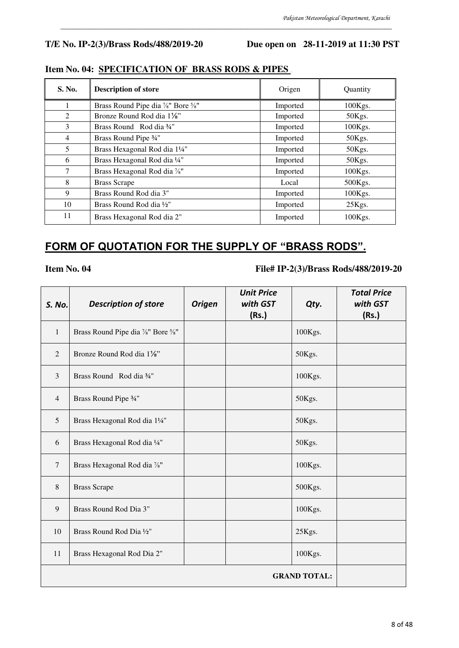### **T/E No. IP-2(3)/Brass Rods/488/2019-20 Due open on 28-11-2019 at 11:30 PST**

| S. No.         | <b>Description of store</b>                          | Origen   | Quantity |
|----------------|------------------------------------------------------|----------|----------|
|                | Brass Round Pipe dia 1/8" Bore 5/8"                  | Imported | 100Kgs.  |
| 2              | Bronze Round Rod dia 1 <sup>1</sup> / <sub>8</sub> " | Imported | 50Kgs.   |
| 3              | Brass Round Rod dia 3/4"                             | Imported | 100Kgs.  |
| $\overline{4}$ | Brass Round Pipe 3/4"                                | Imported | 50Kgs.   |
| 5              | Brass Hexagonal Rod dia 11/4"                        | Imported | 50Kgs.   |
| 6              | Brass Hexagonal Rod dia 1/4"                         | Imported | 50Kgs.   |
| 7              | Brass Hexagonal Rod dia 1/8"                         | Imported | 100Kgs.  |
| 8              | <b>Brass Scrape</b>                                  | Local    | 500Kgs.  |
| 9              | Brass Round Rod dia 3"                               | Imported | 100Kgs.  |
| 10             | Brass Round Rod dia 1/2"                             | Imported | 25Kgs.   |
| 11             | Brass Hexagonal Rod dia 2"                           | Imported | 100Kgs.  |

\_\_\_\_\_\_\_\_\_\_\_\_\_\_\_\_\_\_\_\_\_\_\_\_\_\_\_\_\_\_\_\_\_\_\_\_\_\_\_\_\_\_\_\_\_\_\_\_\_\_\_\_\_\_\_\_\_\_\_\_\_\_\_\_\_\_\_\_\_\_\_\_\_\_\_\_\_\_\_\_\_\_\_\_\_\_\_\_\_\_\_\_\_\_\_\_\_\_\_\_\_\_\_

### **Item No. 04: SPECIFICATION OF BRASS RODS & PIPES .**

# **FORM OF QUOTATION FOR THE SUPPLY OF "BRASS RODS".**

### **Item No. 04 File# IP-2(3)/Brass Rods/488/2019-20**

| S. No.              | <b>Description of store</b>         | <b>Origen</b> | <b>Unit Price</b><br>with GST<br>(Rs.) | Qty.    | <b>Total Price</b><br>with GST<br>(Rs.) |
|---------------------|-------------------------------------|---------------|----------------------------------------|---------|-----------------------------------------|
| $\mathbf{1}$        | Brass Round Pipe dia "/s" Bore 5/8" |               |                                        | 100Kgs. |                                         |
| $\overline{2}$      | Bronze Round Rod dia 1%"            |               |                                        | 50Kgs.  |                                         |
| 3                   | Brass Round Rod dia 3/4"            |               |                                        | 100Kgs. |                                         |
| $\overline{4}$      | Brass Round Pipe 3/4"               |               |                                        | 50Kgs.  |                                         |
| 5                   | Brass Hexagonal Rod dia 11/4"       |               |                                        | 50Kgs.  |                                         |
| 6                   | Brass Hexagonal Rod dia 1/4"        |               |                                        | 50Kgs.  |                                         |
| $\boldsymbol{7}$    | Brass Hexagonal Rod dia 1/8"        |               |                                        | 100Kgs. |                                         |
| $8\phantom{1}$      | <b>Brass Scrape</b>                 |               |                                        | 500Kgs. |                                         |
| $\overline{9}$      | Brass Round Rod Dia 3"              |               |                                        | 100Kgs. |                                         |
| 10                  | Brass Round Rod Dia 1/2"            |               |                                        | 25Kgs.  |                                         |
| 11                  | Brass Hexagonal Rod Dia 2"          |               |                                        | 100Kgs. |                                         |
| <b>GRAND TOTAL:</b> |                                     |               |                                        |         |                                         |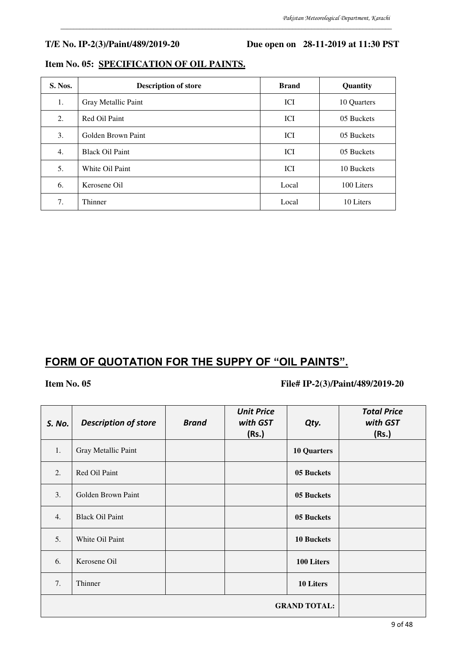### **T/E No. IP-2(3)/Paint/489/2019-20 Due open on 28-11-2019 at 11:30 PST**

### **Item No. 05: SPECIFICATION OF OIL PAINTS.**

| S. Nos. | <b>Description of store</b> | <b>Brand</b> | Quantity    |
|---------|-----------------------------|--------------|-------------|
| 1.      | Gray Metallic Paint         | ICI          | 10 Quarters |
| 2.      | Red Oil Paint               | ICI          | 05 Buckets  |
| 3.      | Golden Brown Paint          | ICI          | 05 Buckets  |
| 4.      | <b>Black Oil Paint</b>      | ICI          | 05 Buckets  |
| 5.      | White Oil Paint             | ICI          | 10 Buckets  |
| 6.      | Kerosene Oil                | Local        | 100 Liters  |
| 7.      | Thinner                     | Local        | 10 Liters   |

\_\_\_\_\_\_\_\_\_\_\_\_\_\_\_\_\_\_\_\_\_\_\_\_\_\_\_\_\_\_\_\_\_\_\_\_\_\_\_\_\_\_\_\_\_\_\_\_\_\_\_\_\_\_\_\_\_\_\_\_\_\_\_\_\_\_\_\_\_\_\_\_\_\_\_\_\_\_\_\_\_\_\_\_\_\_\_\_\_\_\_\_\_\_\_\_\_\_\_\_\_\_\_

# **FORM OF QUOTATION FOR THE SUPPY OF "OIL PAINTS".**

### **Item No. 05 File# IP-2(3)/Paint/489/2019-20**

| S. No.           | <b>Description of store</b> | <b>Brand</b> | <b>Unit Price</b><br>with GST<br>(Rs.) | Qty.               | <b>Total Price</b><br>with GST<br>(Rs.) |
|------------------|-----------------------------|--------------|----------------------------------------|--------------------|-----------------------------------------|
| 1.               | Gray Metallic Paint         |              |                                        | <b>10 Quarters</b> |                                         |
| 2.               | Red Oil Paint               |              |                                        | 05 Buckets         |                                         |
| 3.               | Golden Brown Paint          |              |                                        | 05 Buckets         |                                         |
| $\overline{4}$ . | <b>Black Oil Paint</b>      |              |                                        | 05 Buckets         |                                         |
| 5.               | White Oil Paint             |              |                                        | <b>10 Buckets</b>  |                                         |
| 6.               | Kerosene Oil                |              |                                        | 100 Liters         |                                         |
| 7.               | Thinner                     |              |                                        | 10 Liters          |                                         |
|                  |                             |              |                                        |                    |                                         |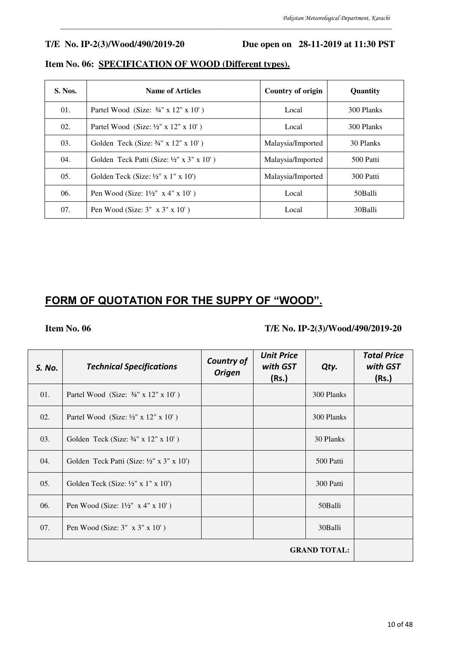### **T/E No. IP-2(3)/Wood/490/2019-20 Due open on 28-11-2019 at 11:30 PST**

| S. Nos.          | <b>Name of Articles</b>                              | <b>Country of origin</b> | Quantity   |
|------------------|------------------------------------------------------|--------------------------|------------|
| 01.              | Partel Wood (Size: $\frac{3}{4}$ " x 12" x 10')      | Local                    | 300 Planks |
| 02.              | Partel Wood (Size: $\frac{1}{2}$ " x 12" x 10")      | Local                    | 300 Planks |
| 03.              | Golden Teck (Size: $\frac{3}{4}$ " x 12" x 10')      | Malaysia/Imported        | 30 Planks  |
| 04.              | Golden Teck Patti (Size: $\frac{1}{2}$ " x 3" x 10") | Malaysia/Imported        | 500 Patti  |
| 0.5 <sub>1</sub> | Golden Teck (Size: $\frac{1}{2}$ " x 1" x 10")       | Malaysia/Imported        | 300 Patti  |
| 06.              | Pen Wood (Size: $1\frac{1}{2}$ " x 4" x 10')         | Local                    | 50Balli    |
| 07.              | Pen Wood (Size: $3'' \times 3'' \times 10'$ )        | Local                    | 30Balli    |

\_\_\_\_\_\_\_\_\_\_\_\_\_\_\_\_\_\_\_\_\_\_\_\_\_\_\_\_\_\_\_\_\_\_\_\_\_\_\_\_\_\_\_\_\_\_\_\_\_\_\_\_\_\_\_\_\_\_\_\_\_\_\_\_\_\_\_\_\_\_\_\_\_\_\_\_\_\_\_\_\_\_\_\_\_\_\_\_\_\_\_\_\_\_\_\_\_\_\_\_\_\_\_

### **Item No. 06: SPECIFICATION OF WOOD (Different types).**

# **FORM OF QUOTATION FOR THE SUPPY OF "WOOD".**

### **Item No. 06 T/E No. IP-2(3)/Wood/490/2019-20**

| S. No.              | <b>Technical Specifications</b>                      | <b>Country of</b><br><b>Origen</b> | <b>Unit Price</b><br>with GST<br>(Rs.) | Qty.       | <b>Total Price</b><br>with GST<br>(Rs.) |
|---------------------|------------------------------------------------------|------------------------------------|----------------------------------------|------------|-----------------------------------------|
| 01.                 | Partel Wood (Size: $\frac{3}{4}$ " x 12" x 10")      |                                    |                                        | 300 Planks |                                         |
| 02.                 | Partel Wood (Size: $\frac{1}{2}$ " x 12" x 10")      |                                    |                                        | 300 Planks |                                         |
| 03.                 | Golden Teck (Size: $\frac{3}{4}$ " x 12" x 10')      |                                    |                                        | 30 Planks  |                                         |
| 04.                 | Golden Teck Patti (Size: $\frac{1}{2}$ " x 3" x 10") |                                    |                                        | 500 Patti  |                                         |
| 05.                 | Golden Teck (Size: $\frac{1}{2}$ " x 1" x 10")       |                                    |                                        | 300 Patti  |                                         |
| 06.                 | Pen Wood (Size: $1\frac{1}{2}$ " x 4" x 10")         |                                    |                                        | 50Balli    |                                         |
| 07.                 | Pen Wood (Size: $3'' \times 3'' \times 10'$ )        |                                    |                                        | 30Balli    |                                         |
| <b>GRAND TOTAL:</b> |                                                      |                                    |                                        |            |                                         |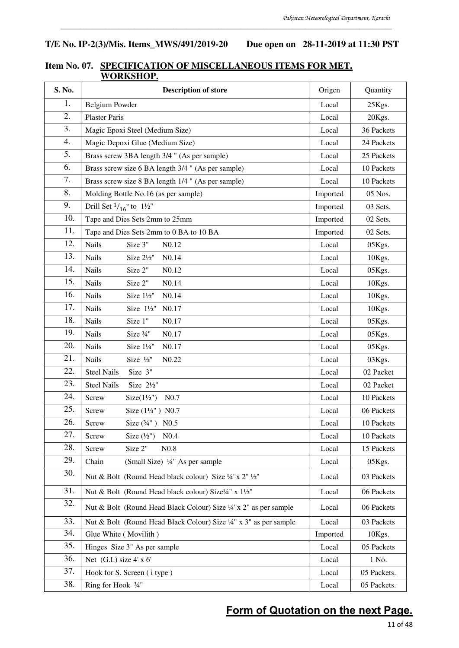### **T/E No. IP-2(3)/Mis. Items\_MWS/491/2019-20 Due open on 28-11-2019 at 11:30 PST**

| Item No. 07. SPECIFICATION OF MISCELLANEOUS ITEMS FOR MET. |
|------------------------------------------------------------|
| WORKSHOP.                                                  |

\_\_\_\_\_\_\_\_\_\_\_\_\_\_\_\_\_\_\_\_\_\_\_\_\_\_\_\_\_\_\_\_\_\_\_\_\_\_\_\_\_\_\_\_\_\_\_\_\_\_\_\_\_\_\_\_\_\_\_\_\_\_\_\_\_\_\_\_\_\_\_\_\_\_\_\_\_\_\_\_\_\_\_\_\_\_\_\_\_\_\_\_\_\_\_\_\_\_\_\_\_\_\_

| S. No. | <b>Description of store</b>                                       | Origen   | Quantity    |
|--------|-------------------------------------------------------------------|----------|-------------|
| 1.     | <b>Belgium Powder</b>                                             | Local    | 25Kgs.      |
| 2.     | <b>Plaster Paris</b>                                              | Local    | 20Kgs.      |
| 3.     | Magic Epoxi Steel (Medium Size)                                   | Local    | 36 Packets  |
| 4.     | Magic Depoxi Glue (Medium Size)                                   | Local    | 24 Packets  |
| 5.     | Brass screw 3BA length 3/4 " (As per sample)                      | Local    | 25 Packets  |
| 6.     | Brass screw size 6 BA length 3/4 " (As per sample)                | Local    | 10 Packets  |
| 7.     | Brass screw size 8 BA length 1/4 " (As per sample)                | Local    | 10 Packets  |
| 8.     | Molding Bottle No.16 (as per sample)                              | Imported | 05 Nos.     |
| 9.     | Drill Set $\frac{1}{16}$ to $\frac{11}{2}$                        | Imported | 03 Sets.    |
| 10.    | Tape and Dies Sets 2mm to 25mm                                    | Imported | 02 Sets.    |
| 11.    | Tape and Dies Sets 2mm to 0 BA to 10 BA                           | Imported | 02 Sets.    |
| 12.    | <b>Nails</b><br>Size 3"<br>N <sub>0.12</sub>                      | Local    | 05Kgs.      |
| 13.    | <b>Nails</b><br>Size 21/2"<br>N <sub>0.14</sub>                   | Local    | 10Kgs.      |
| 14.    | <b>Nails</b><br>Size 2"<br>N <sub>0.12</sub>                      | Local    | 05Kgs.      |
| 15.    | <b>Nails</b><br>Size 2"<br>N <sub>0.14</sub>                      | Local    | 10Kgs.      |
| 16.    | <b>Nails</b><br>N <sub>0.14</sub><br>Size $1\frac{1}{2}$ "        | Local    | 10Kgs.      |
| 17.    | <b>Nails</b><br>Size $1\frac{1}{2}$ "<br>N <sub>0.17</sub>        | Local    | 10Kgs.      |
| 18.    | <b>Nails</b><br>Size 1"<br>N <sub>0.17</sub>                      | Local    | 05Kgs.      |
| 19.    | <b>Nails</b><br>Size $\frac{3}{4}$ "<br>N <sub>0.17</sub>         | Local    | 05Kgs.      |
| 20.    | <b>Nails</b><br>Size $1\frac{1}{4}$ "<br>N <sub>0.17</sub>        | Local    | 05Kgs.      |
| 21.    | <b>Nails</b><br>Size $\frac{1}{2}$ "<br>N <sub>0.22</sub>         | Local    | 03Kgs.      |
| 22.    | Size 3"<br><b>Steel Nails</b>                                     | Local    | 02 Packet   |
| 23.    | <b>Steel Nails</b><br>Size 21/2"                                  | Local    | 02 Packet   |
| 24.    | Screw<br>$Size(1\frac{1}{2})$<br>N0.7                             | Local    | 10 Packets  |
| 25.    | Screw<br>Size (1¼") N0.7                                          | Local    | 06 Packets  |
| 26.    | Size (3/4") N0.5<br>Screw                                         | Local    | 10 Packets  |
| 27.    | Size $(\frac{1}{2})$<br>N <sub>0.4</sub><br>Screw                 | Local    | 10 Packets  |
| 28.    | Screw<br>Size 2"<br>N0.8                                          | Local    | 15 Packets  |
| 29.    | Chain<br>(Small Size) 1/4" As per sample                          | Local    | 05Kgs.      |
| 30.    | Nut & Bolt (Round Head black colour) Size 1/4"x 2" 1/2"           | Local    | 03 Packets  |
| 31.    | Nut & Bolt (Round Head black colour) Size1/4" x 11/2"             | Local    | 06 Packets  |
| 32.    | Nut & Bolt (Round Head Black Colour) Size 1/4"x 2" as per sample  | Local    | 06 Packets  |
| 33.    | Nut & Bolt (Round Head Black Colour) Size 1/4" x 3" as per sample | Local    | 03 Packets  |
| 34.    | Glue White (Movilith)                                             | Imported | 10Kgs.      |
| 35.    | Hinges Size 3" As per sample                                      | Local    | 05 Packets  |
| 36.    | Net (G.I.) size 4' x 6'                                           | Local    | 1 No.       |
| 37.    | Hook for S. Screen (i type)                                       | Local    | 05 Packets. |
| 38.    | Ring for Hook 3/4"                                                | Local    | 05 Packets. |

# **Form of Quotation on the next Page.**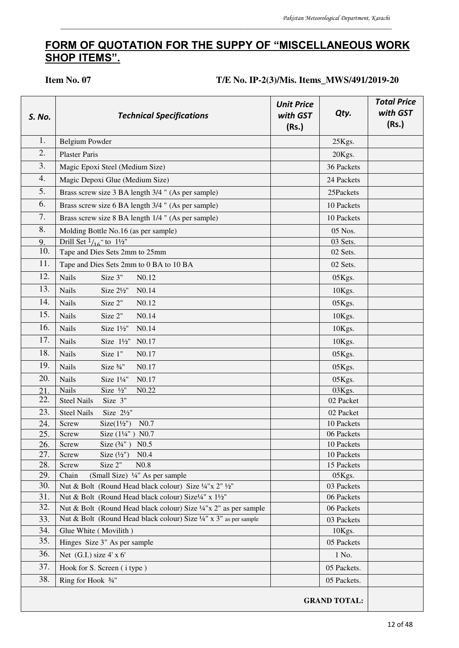# **FORM OF QUOTATION FOR THE SUPPY OF "MISCELLANEOUS WORK SHOP ITEMS".**

\_\_\_\_\_\_\_\_\_\_\_\_\_\_\_\_\_\_\_\_\_\_\_\_\_\_\_\_\_\_\_\_\_\_\_\_\_\_\_\_\_\_\_\_\_\_\_\_\_\_\_\_\_\_\_\_\_\_\_\_\_\_\_\_\_\_\_\_\_\_\_\_\_\_\_\_\_\_\_\_\_\_\_\_\_\_\_\_\_\_\_\_\_\_\_\_\_\_\_\_\_\_\_

#### **Item No. 07 T/E No. IP-2(3)/Mis. Items\_MWS/491/2019-20**

| S. No.              | <b>Technical Specifications</b>                                                                                                       | <b>Unit Price</b><br>with GST<br>(Rs.) | Qty.        | <b>Total Price</b><br>with GST<br>(Rs.) |
|---------------------|---------------------------------------------------------------------------------------------------------------------------------------|----------------------------------------|-------------|-----------------------------------------|
| 1.                  | <b>Belgium Powder</b>                                                                                                                 |                                        | 25Kgs.      |                                         |
| 2.                  | <b>Plaster Paris</b>                                                                                                                  |                                        | 20Kgs.      |                                         |
| 3.                  | Magic Epoxi Steel (Medium Size)                                                                                                       |                                        | 36 Packets  |                                         |
| 4.                  | Magic Depoxi Glue (Medium Size)                                                                                                       |                                        | 24 Packets  |                                         |
| 5.                  | Brass screw size 3 BA length 3/4 " (As per sample)                                                                                    |                                        | 25Packets   |                                         |
| 6.                  | Brass screw size 6 BA length 3/4 " (As per sample)                                                                                    |                                        | 10 Packets  |                                         |
| 7.                  | Brass screw size 8 BA length 1/4 " (As per sample)                                                                                    |                                        | 10 Packets  |                                         |
| 8.                  | Molding Bottle No.16 (as per sample)                                                                                                  |                                        | 05 Nos.     |                                         |
| 9.                  | Drill Set $\frac{1}{46}$ to $\frac{1}{2}$                                                                                             |                                        | 03 Sets.    |                                         |
| 10.                 | Tape and Dies Sets 2mm to 25mm                                                                                                        |                                        | 02 Sets.    |                                         |
| 11.                 | Tape and Dies Sets 2mm to 0 BA to 10 BA                                                                                               |                                        | 02 Sets.    |                                         |
| 12.                 | Size 3"<br><b>Nails</b><br>N <sub>0.12</sub>                                                                                          |                                        | 05Kgs.      |                                         |
| 13.                 | <b>Nails</b><br>Size $2\frac{1}{2}$ "<br>N <sub>0.14</sub>                                                                            |                                        | 10Kgs.      |                                         |
| 14.                 | <b>Nails</b><br>Size 2"<br>N <sub>0.12</sub>                                                                                          |                                        | 05Kgs.      |                                         |
| 15.                 | <b>Nails</b><br>Size 2"<br>N <sub>0.14</sub>                                                                                          |                                        | 10Kgs.      |                                         |
| 16.                 | <b>Nails</b><br>Size 11/2"<br>N <sub>0.14</sub>                                                                                       |                                        | 10Kgs.      |                                         |
| 17.                 | <b>Nails</b><br>Size 11/2" N0.17                                                                                                      |                                        | 10Kgs.      |                                         |
| 18.                 | Size 1"<br><b>Nails</b><br>N <sub>0.17</sub>                                                                                          |                                        | 05Kgs.      |                                         |
| 19.                 | <b>Nails</b><br>Size 3/4"<br>N <sub>0.17</sub>                                                                                        |                                        | 05Kgs.      |                                         |
| 20.                 | <b>Nails</b><br>Size 11/4"<br>N <sub>0.17</sub>                                                                                       |                                        | 05Kgs.      |                                         |
| 21.                 | Size 1/2"<br><b>Nails</b><br>N <sub>0.22</sub>                                                                                        |                                        | 03Kgs.      |                                         |
| 22.                 | <b>Steel Nails</b><br>Size 3"                                                                                                         |                                        | 02 Packet   |                                         |
| 23.                 | <b>Steel Nails</b><br>Size $2\frac{1}{2}$ "                                                                                           |                                        | 02 Packet   |                                         |
| 24.                 | $Size(1\frac{1}{2})$<br>N0.7<br>Screw                                                                                                 |                                        | 10 Packets  |                                         |
| 25.                 | Size (1¼") N0.7<br>Screw                                                                                                              |                                        | 06 Packets  |                                         |
| 26.                 | Size (3/4") N0.5<br>Screw                                                                                                             |                                        | 10 Packets  |                                         |
| 27.                 | Size $(\frac{1}{2})$<br>N <sub>0.4</sub><br>Screw                                                                                     |                                        | 10 Packets  |                                         |
| 28.                 | Size 2"<br>N <sub>0.8</sub><br>Screw                                                                                                  |                                        | 15 Packets  |                                         |
| 29.                 | (Small Size) 1/4" As per sample<br>Chain                                                                                              |                                        | 05Kgs.      |                                         |
| 30.                 | Nut & Bolt (Round Head black colour) Size 1/4"x 2" 1/2"                                                                               |                                        | 03 Packets  |                                         |
| 31.                 | Nut & Bolt (Round Head black colour) Size1/4" x 11/2"                                                                                 |                                        | 06 Packets  |                                         |
| 32.                 | Nut & Bolt (Round Head black colour) Size 1/4"x 2" as per sample<br>Nut & Bolt (Round Head black colour) Size 1/4" x 3" as per sample |                                        | 06 Packets  |                                         |
| 33.                 |                                                                                                                                       |                                        | 03 Packets  |                                         |
| 34.                 | Glue White (Movilith)                                                                                                                 |                                        | 10Kgs.      |                                         |
| 35.                 | Hinges Size 3" As per sample                                                                                                          |                                        | 05 Packets  |                                         |
| 36.                 | Net $(G.I.)$ size $4' \times 6'$                                                                                                      |                                        | 1 No.       |                                         |
| 37.                 | Hook for S. Screen (i type)                                                                                                           |                                        | 05 Packets. |                                         |
| 38.                 | Ring for Hook 3/4"                                                                                                                    |                                        | 05 Packets. |                                         |
| <b>GRAND TOTAL:</b> |                                                                                                                                       |                                        |             |                                         |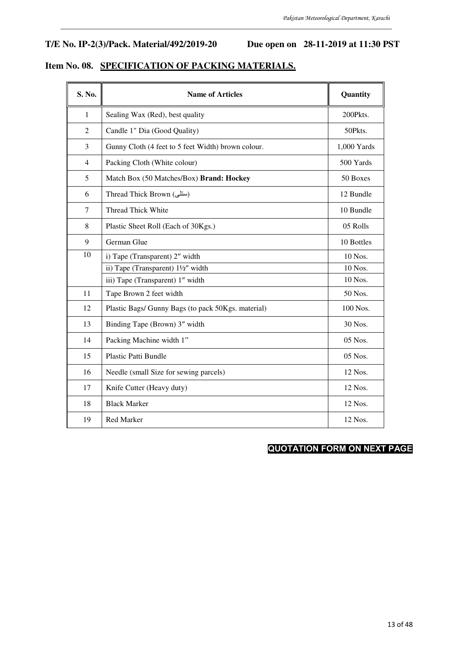## **T/E No. IP-2(3)/Pack. Material/492/2019-20 Due open on 28-11-2019 at 11:30 PST**

| S. No.         | <b>Name of Articles</b>                            | Quantity    |
|----------------|----------------------------------------------------|-------------|
| $\mathbf{1}$   | Sealing Wax (Red), best quality                    | 200Pkts.    |
| $\overline{2}$ | Candle 1" Dia (Good Quality)                       | 50Pkts.     |
| 3              | Gunny Cloth (4 feet to 5 feet Width) brown colour. | 1,000 Yards |
| $\overline{4}$ | Packing Cloth (White colour)                       | 500 Yards   |
| 5              | Match Box (50 Matches/Box) Brand: Hockey           | 50 Boxes    |
| 6              | Thread Thick Brown (ستلی)                          | 12 Bundle   |
| 7              | <b>Thread Thick White</b>                          | 10 Bundle   |
| 8              | Plastic Sheet Roll (Each of 30Kgs.)                | 05 Rolls    |
| 9              | German Glue                                        | 10 Bottles  |
| 10             | i) Tape (Transparent) 2" width                     | 10 Nos.     |
|                | ii) Tape (Transparent) 1½" width                   | 10 Nos.     |
|                | iii) Tape (Transparent) 1" width                   | 10 Nos.     |
| 11             | Tape Brown 2 feet width                            | 50 Nos.     |
| 12             | Plastic Bags/ Gunny Bags (to pack 50Kgs. material) | 100 Nos.    |
| 13             | Binding Tape (Brown) 3" width                      | 30 Nos.     |
| 14             | Packing Machine width 1"                           | 05 Nos.     |
| 15             | <b>Plastic Patti Bundle</b>                        | 05 Nos.     |
| 16             | Needle (small Size for sewing parcels)             | 12 Nos.     |
| 17             | Knife Cutter (Heavy duty)                          | 12 Nos.     |
| 18             | <b>Black Marker</b>                                | 12 Nos.     |
| 19             | Red Marker                                         | 12 Nos.     |

\_\_\_\_\_\_\_\_\_\_\_\_\_\_\_\_\_\_\_\_\_\_\_\_\_\_\_\_\_\_\_\_\_\_\_\_\_\_\_\_\_\_\_\_\_\_\_\_\_\_\_\_\_\_\_\_\_\_\_\_\_\_\_\_\_\_\_\_\_\_\_\_\_\_\_\_\_\_\_\_\_\_\_\_\_\_\_\_\_\_\_\_\_\_\_\_\_\_\_\_\_\_\_

## **QUOTATION FORM ON NEXT PAGE**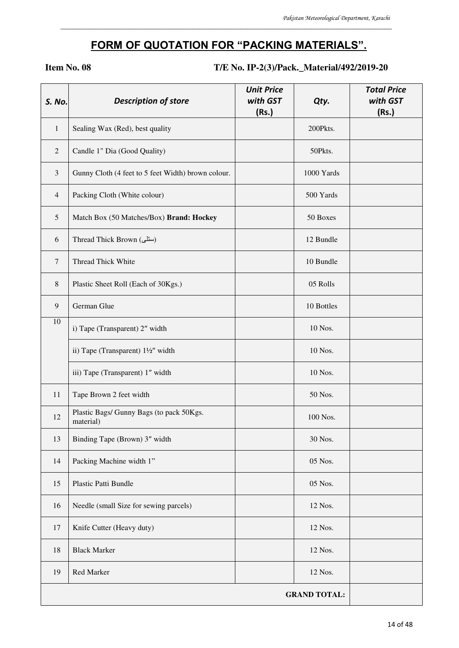# **FORM OF QUOTATION FOR "PACKING MATERIALS".**

\_\_\_\_\_\_\_\_\_\_\_\_\_\_\_\_\_\_\_\_\_\_\_\_\_\_\_\_\_\_\_\_\_\_\_\_\_\_\_\_\_\_\_\_\_\_\_\_\_\_\_\_\_\_\_\_\_\_\_\_\_\_\_\_\_\_\_\_\_\_\_\_\_\_\_\_\_\_\_\_\_\_\_\_\_\_\_\_\_\_\_\_\_\_\_\_\_\_\_\_\_\_\_

## **Item No. 08 T/E No. IP-2(3)/Pack.\_Material/492/2019-20**

| S. No.         | <b>Description of store</b>                           | <b>Unit Price</b><br>with GST<br>(Rs.) | Qty.                | <b>Total Price</b><br>with GST<br>(Rs.) |
|----------------|-------------------------------------------------------|----------------------------------------|---------------------|-----------------------------------------|
| $\mathbf{1}$   | Sealing Wax (Red), best quality                       |                                        | 200Pkts.            |                                         |
| $\overline{c}$ | Candle 1" Dia (Good Quality)                          |                                        | 50Pkts.             |                                         |
| 3              | Gunny Cloth (4 feet to 5 feet Width) brown colour.    |                                        | 1000 Yards          |                                         |
| $\overline{4}$ | Packing Cloth (White colour)                          |                                        | 500 Yards           |                                         |
| 5              | Match Box (50 Matches/Box) Brand: Hockey              |                                        | 50 Boxes            |                                         |
| 6              | Thread Thick Brown (ستلی)                             |                                        | 12 Bundle           |                                         |
| $\tau$         | Thread Thick White                                    |                                        | 10 Bundle           |                                         |
| $8\,$          | Plastic Sheet Roll (Each of 30Kgs.)                   |                                        | 05 Rolls            |                                         |
| $\overline{9}$ | German Glue                                           |                                        | 10 Bottles          |                                         |
| 10             | i) Tape (Transparent) 2" width                        |                                        | 10 Nos.             |                                         |
|                | ii) Tape (Transparent) 11/2" width                    |                                        | 10 Nos.             |                                         |
|                | iii) Tape (Transparent) 1" width                      |                                        | 10 Nos.             |                                         |
| 11             | Tape Brown 2 feet width                               |                                        | 50 Nos.             |                                         |
| 12             | Plastic Bags/ Gunny Bags (to pack 50Kgs.<br>material) |                                        | 100 Nos.            |                                         |
| 13             | Binding Tape (Brown) 3" width                         |                                        | 30 Nos.             |                                         |
| 14             | Packing Machine width 1"                              |                                        | 05 Nos.             |                                         |
| 15             | Plastic Patti Bundle                                  |                                        | 05 Nos.             |                                         |
| 16             | Needle (small Size for sewing parcels)                |                                        | 12 Nos.             |                                         |
| 17             | Knife Cutter (Heavy duty)                             |                                        | 12 Nos.             |                                         |
| 18             | <b>Black Marker</b>                                   |                                        | 12 Nos.             |                                         |
| 19             | Red Marker                                            |                                        | 12 Nos.             |                                         |
|                |                                                       |                                        | <b>GRAND TOTAL:</b> |                                         |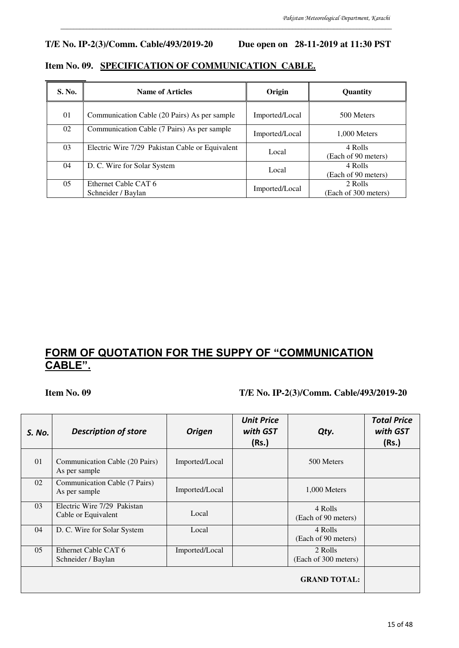### **T/E No. IP-2(3)/Comm. Cable/493/2019-20 Due open on 28-11-2019 at 11:30 PST**

|  | Item No. 09. SPECIFICATION OF COMMUNICATION CABLE. |  |
|--|----------------------------------------------------|--|
|--|----------------------------------------------------|--|

| S. No. | <b>Name of Articles</b>                         | Origin         | Quantity                        |
|--------|-------------------------------------------------|----------------|---------------------------------|
| 01     | Communication Cable (20 Pairs) As per sample    | Imported/Local | 500 Meters                      |
| 02     | Communication Cable (7 Pairs) As per sample     | Imported/Local | 1,000 Meters                    |
| 03     | Electric Wire 7/29 Pakistan Cable or Equivalent | Local          | 4 Rolls<br>(Each of 90 meters)  |
| 04     | D. C. Wire for Solar System                     | Local          | 4 Rolls<br>(Each of 90 meters)  |
| 0.5    | Ethernet Cable CAT 6<br>Schneider / Baylan      | Imported/Local | 2 Rolls<br>(Each of 300 meters) |

\_\_\_\_\_\_\_\_\_\_\_\_\_\_\_\_\_\_\_\_\_\_\_\_\_\_\_\_\_\_\_\_\_\_\_\_\_\_\_\_\_\_\_\_\_\_\_\_\_\_\_\_\_\_\_\_\_\_\_\_\_\_\_\_\_\_\_\_\_\_\_\_\_\_\_\_\_\_\_\_\_\_\_\_\_\_\_\_\_\_\_\_\_\_\_\_\_\_\_\_\_\_\_

# **FORM OF QUOTATION FOR THE SUPPY OF "COMMUNICATION CABLE".**

**Item No. 09 T/E No. IP-2(3)/Comm. Cable/493/2019-20** 

| S. No.              | <b>Description of store</b>                        | <b>Origen</b>  | <b>Unit Price</b><br>with GST<br>(Rs.) | Qty.                            | <b>Total Price</b><br>with GST<br>(Rs.) |
|---------------------|----------------------------------------------------|----------------|----------------------------------------|---------------------------------|-----------------------------------------|
| 01                  | Communication Cable (20 Pairs)<br>As per sample    | Imported/Local |                                        | 500 Meters                      |                                         |
| 02                  | Communication Cable (7 Pairs)<br>As per sample     | Imported/Local |                                        | 1,000 Meters                    |                                         |
| 03                  | Electric Wire 7/29 Pakistan<br>Cable or Equivalent | Local          |                                        | 4 Rolls<br>(Each of 90 meters)  |                                         |
| 04                  | D. C. Wire for Solar System                        | Local          |                                        | 4 Rolls<br>(Each of 90 meters)  |                                         |
| 05                  | Ethernet Cable CAT 6<br>Schneider / Baylan         | Imported/Local |                                        | 2 Rolls<br>(Each of 300 meters) |                                         |
| <b>GRAND TOTAL:</b> |                                                    |                |                                        |                                 |                                         |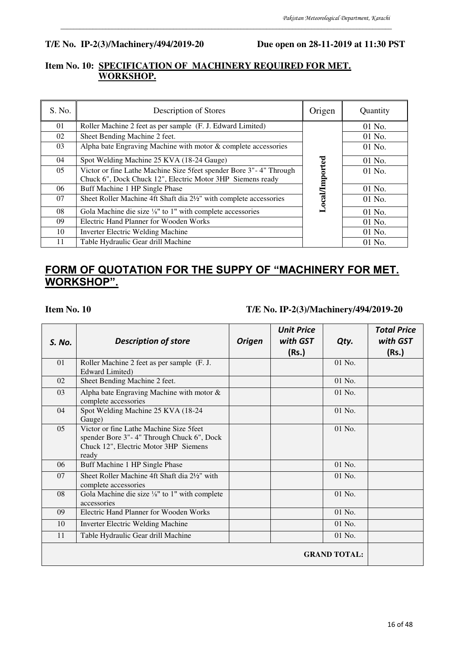#### **T/E No. IP-2(3)/Machinery/494/2019-20 Due open on 28-11-2019 at 11:30 PST**

### **Item No. 10: SPECIFICATION OF MACHINERY REQUIRED FOR MET. WORKSHOP.**

| S. No. | Description of Stores                                                                                                                              |  | Quantity |
|--------|----------------------------------------------------------------------------------------------------------------------------------------------------|--|----------|
| 01     | Roller Machine 2 feet as per sample (F. J. Edward Limited)                                                                                         |  | $01$ No. |
| 02     | Sheet Bending Machine 2 feet.                                                                                                                      |  | 01 No.   |
| 03     | Alpha bate Engraving Machine with motor & complete accessories                                                                                     |  | 01 No.   |
| 04     | Spot Welding Machine 25 KVA (18-24 Gauge)                                                                                                          |  | 01 No.   |
| 05     | cal/Imported<br>Victor or fine Lathe Machine Size 5feet spender Bore 3" - 4" Through<br>Chuck 6", Dock Chuck 12", Electric Motor 3HP Siemens ready |  | 01 No.   |
| 06     | Buff Machine 1 HP Single Phase                                                                                                                     |  | 01 No.   |
| 07     | Sheet Roller Machine 4ft Shaft dia 2½" with complete accessories                                                                                   |  | 01 No.   |
| 08     | Gola Machine die size 1/8" to 1" with complete accessories                                                                                         |  | 01 No.   |
| 09     | Electric Hand Planner for Wooden Works                                                                                                             |  | 01 No.   |
| 10     | <b>Inverter Electric Welding Machine</b>                                                                                                           |  | 01 No.   |
| 11     | Table Hydraulic Gear drill Machine                                                                                                                 |  | $01$ No. |

\_\_\_\_\_\_\_\_\_\_\_\_\_\_\_\_\_\_\_\_\_\_\_\_\_\_\_\_\_\_\_\_\_\_\_\_\_\_\_\_\_\_\_\_\_\_\_\_\_\_\_\_\_\_\_\_\_\_\_\_\_\_\_\_\_\_\_\_\_\_\_\_\_\_\_\_\_\_\_\_\_\_\_\_\_\_\_\_\_\_\_\_\_\_\_\_\_\_\_\_\_\_\_

# **FORM OF QUOTATION FOR THE SUPPY OF "MACHINERY FOR MET. WORKSHOP".**

### **Item No. 10 T/E No. IP-2(3)/Machinery/494/2019-20**

| S. No.         | <b>Description of store</b>                                                                                                            | <b>Origen</b> | <b>Unit Price</b><br>with GST<br>(Rs.) | Qty.                | <b>Total Price</b><br>with GST<br>(Rs.) |
|----------------|----------------------------------------------------------------------------------------------------------------------------------------|---------------|----------------------------------------|---------------------|-----------------------------------------|
| 01             | Roller Machine 2 feet as per sample (F. J.<br><b>Edward Limited</b> )                                                                  |               |                                        | $01$ No.            |                                         |
| 02             | Sheet Bending Machine 2 feet.                                                                                                          |               |                                        | $01$ No.            |                                         |
| 0 <sub>3</sub> | Alpha bate Engraving Machine with motor $\&$<br>complete accessories                                                                   |               |                                        | $01$ No.            |                                         |
| 04             | Spot Welding Machine 25 KVA (18-24<br>Gauge)                                                                                           |               |                                        | $01$ No.            |                                         |
| 0.5            | Victor or fine Lathe Machine Size 5feet<br>spender Bore 3"-4" Through Chuck 6", Dock<br>Chuck 12", Electric Motor 3HP Siemens<br>ready |               |                                        | $01$ No.            |                                         |
| 06             | Buff Machine 1 HP Single Phase                                                                                                         |               |                                        | $01$ No.            |                                         |
| 07             | Sheet Roller Machine 4ft Shaft dia 2½" with<br>complete accessories                                                                    |               |                                        | $01$ No.            |                                         |
| 08             | Gola Machine die size 1/8" to 1" with complete<br>accessories                                                                          |               |                                        | $01$ No.            |                                         |
| 09             | Electric Hand Planner for Wooden Works                                                                                                 |               |                                        | $01$ No.            |                                         |
| 10             | Inverter Electric Welding Machine                                                                                                      |               |                                        | $01$ No.            |                                         |
| 11             | Table Hydraulic Gear drill Machine                                                                                                     |               |                                        | $01$ No.            |                                         |
|                |                                                                                                                                        |               |                                        | <b>GRAND TOTAL:</b> |                                         |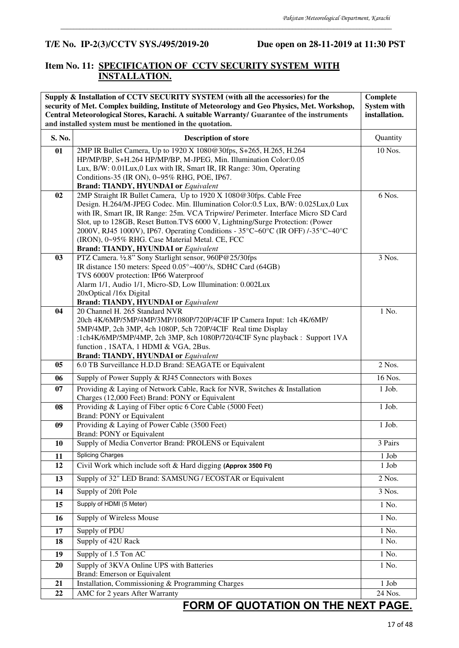### **T/E No. IP-2(3)/CCTV SYS./495/2019-20 Due open on 28-11-2019 at 11:30 PST**

### **Item No. 11: SPECIFICATION OF CCTV SECURITY SYSTEM WITH INSTALLATION.**

|                | Supply & Installation of CCTV SECURITY SYSTEM (with all the accessories) for the<br>security of Met. Complex building, Institute of Meteorology and Geo Physics, Met. Workshop,<br>Central Meteorological Stores, Karachi. A suitable Warranty/ Guarantee of the instruments<br>and installed system must be mentioned in the quotation.                                                                                                                                                                            | <b>Complete</b><br><b>System with</b><br>installation. |
|----------------|---------------------------------------------------------------------------------------------------------------------------------------------------------------------------------------------------------------------------------------------------------------------------------------------------------------------------------------------------------------------------------------------------------------------------------------------------------------------------------------------------------------------|--------------------------------------------------------|
| S. No.         | <b>Description of store</b>                                                                                                                                                                                                                                                                                                                                                                                                                                                                                         | Quantity                                               |
| 01             | 2MP IR Bullet Camera, Up to 1920 X 1080@30fps, S+265, H.265, H.264<br>HP/MP/BP, S+H.264 HP/MP/BP, M-JPEG, Min. Illumination Color:0.05<br>Lux, B/W: 0.01Lux, 0 Lux with IR, Smart IR, IR Range: 30m, Operating<br>Conditions-35 (IR ON), 0~95% RHG, POE, IP67.<br><b>Brand: TIANDY, HYUNDAI or Equivalent</b>                                                                                                                                                                                                       | 10 Nos.                                                |
| 02             | 2MP Straight IR Bullet Camera, Up to 1920 X 1080@30fps. Cable Free<br>Design. H.264/M-JPEG Codec. Min. Illumination Color:0.5 Lux, B/W: 0.025Lux,0 Lux<br>with IR, Smart IR, IR Range: 25m. VCA Tripwire/ Perimeter. Interface Micro SD Card<br>Slot, up to 128GB, Reset Button.TVS 6000 V, Lightning/Surge Protection: (Power<br>2000V, RJ45 1000V), IP67. Operating Conditions - 35°C~60°C (IR OFF) /-35°C~40°C<br>(IRON), 0~95% RHG. Case Material Metal. CE, FCC<br><b>Brand: TIANDY, HYUNDAI or Equivalent</b> | 6 Nos.                                                 |
| 03             | PTZ Camera. 1/2.8" Sony Starlight sensor, 960P@25/30fps<br>IR distance 150 meters: Speed 0.05°~400°/s, SDHC Card (64GB)<br>TVS 6000V protection: IP66 Waterproof<br>Alarm 1/1, Audio 1/1, Micro-SD, Low Illumination: 0.002Lux<br>20xOptical /16x Digital<br><b>Brand: TIANDY, HYUNDAI or Equivalent</b>                                                                                                                                                                                                            | 3 Nos.                                                 |
| 04             | 20 Channel H. 265 Standard NVR<br>20ch 4K/6MP/5MP/4MP/3MP/1080P/720P/4CIF IP Camera Input: 1ch 4K/6MP/<br>5MP/4MP, 2ch 3MP, 4ch 1080P, 5ch 720P/4CIF Real time Display<br>:1ch4K/6MP/5MP/4MP, 2ch 3MP, 8ch 1080P/720/4CIF Sync playback : Support 1VA<br>function, 1SATA, 1 HDMI & VGA, 2Bus.<br><b>Brand: TIANDY, HYUNDAI or Equivalent</b>                                                                                                                                                                        | 1 No.                                                  |
| 0 <sub>5</sub> | 6.0 TB Surveillance H.D.D Brand: SEAGATE or Equivalent                                                                                                                                                                                                                                                                                                                                                                                                                                                              | 2 Nos.                                                 |
| 06             | Supply of Power Supply & RJ45 Connectors with Boxes                                                                                                                                                                                                                                                                                                                                                                                                                                                                 | 16 Nos.                                                |
| 07             | Providing & Laying of Network Cable, Rack for NVR, Switches & Installation<br>Charges (12,000 Feet) Brand: PONY or Equivalent                                                                                                                                                                                                                                                                                                                                                                                       | 1 Job.                                                 |
| 08             | Providing & Laying of Fiber optic 6 Core Cable (5000 Feet)<br>Brand: PONY or Equivalent                                                                                                                                                                                                                                                                                                                                                                                                                             | 1 Job.                                                 |
| 09             | Providing & Laying of Power Cable (3500 Feet)<br>Brand: PONY or Equivalent                                                                                                                                                                                                                                                                                                                                                                                                                                          | 1 Job.                                                 |
| 10             | Supply of Media Convertor Brand: PROLENS or Equivalent                                                                                                                                                                                                                                                                                                                                                                                                                                                              | $\overline{3}$ Pairs                                   |
| 11             | <b>Splicing Charges</b>                                                                                                                                                                                                                                                                                                                                                                                                                                                                                             | 1 Job                                                  |
| 12             | Civil Work which include soft & Hard digging (Approx 3500 Ft)                                                                                                                                                                                                                                                                                                                                                                                                                                                       | 1 Job                                                  |
| 13             | Supply of 32" LED Brand: SAMSUNG / ECOSTAR or Equivalent                                                                                                                                                                                                                                                                                                                                                                                                                                                            | 2 Nos.                                                 |
| 14             | Supply of 20ft Pole                                                                                                                                                                                                                                                                                                                                                                                                                                                                                                 | 3 Nos.                                                 |
| 15             | Supply of HDMI (5 Meter)                                                                                                                                                                                                                                                                                                                                                                                                                                                                                            | 1 No.                                                  |
| 16             | Supply of Wireless Mouse                                                                                                                                                                                                                                                                                                                                                                                                                                                                                            | 1 No.                                                  |
| 17             | Supply of PDU                                                                                                                                                                                                                                                                                                                                                                                                                                                                                                       | 1 No.                                                  |
| 18             | Supply of 42U Rack                                                                                                                                                                                                                                                                                                                                                                                                                                                                                                  | 1 No.                                                  |
| 19             | Supply of 1.5 Ton AC                                                                                                                                                                                                                                                                                                                                                                                                                                                                                                | 1 No.                                                  |
| 20             | Supply of 3KVA Online UPS with Batteries                                                                                                                                                                                                                                                                                                                                                                                                                                                                            | 1 No.                                                  |
| 21             | Brand: Emerson or Equivalent<br>Installation, Commissioning & Programming Charges                                                                                                                                                                                                                                                                                                                                                                                                                                   | 1 Job                                                  |
| 22             | AMC for 2 years After Warranty                                                                                                                                                                                                                                                                                                                                                                                                                                                                                      | 24 Nos.                                                |
|                | <b>FORM OF QUOTATION ON THE NEXT PAGE.</b>                                                                                                                                                                                                                                                                                                                                                                                                                                                                          |                                                        |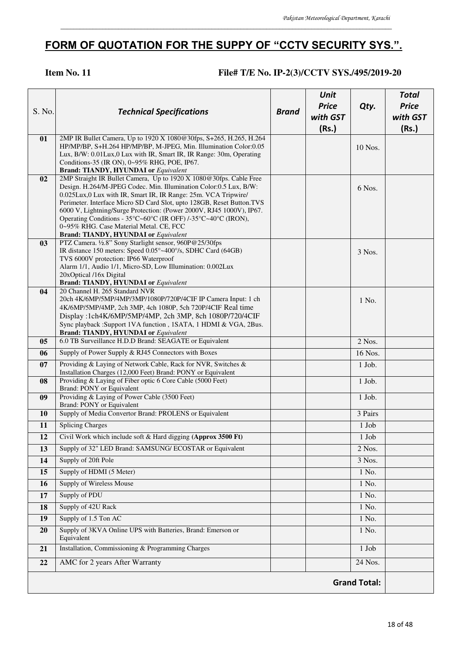# **FORM OF QUOTATION FOR THE SUPPY OF "CCTV SECURITY SYS.".**

\_\_\_\_\_\_\_\_\_\_\_\_\_\_\_\_\_\_\_\_\_\_\_\_\_\_\_\_\_\_\_\_\_\_\_\_\_\_\_\_\_\_\_\_\_\_\_\_\_\_\_\_\_\_\_\_\_\_\_\_\_\_\_\_\_\_\_\_\_\_\_\_\_\_\_\_\_\_\_\_\_\_\_\_\_\_\_\_\_\_\_\_\_\_\_\_\_\_\_\_\_\_\_

## **Item No. 11** File# T/E No. IP-2(3)/CCTV SYS./495/2019-20

|                |                                                                                                                                               |              | Unit         |                     | <b>Total</b> |
|----------------|-----------------------------------------------------------------------------------------------------------------------------------------------|--------------|--------------|---------------------|--------------|
| S. No.         |                                                                                                                                               |              | <b>Price</b> | Qty.                | <b>Price</b> |
|                | <b>Technical Specifications</b>                                                                                                               | <b>Brand</b> | with GST     |                     | with GST     |
|                |                                                                                                                                               |              | (Rs.)        |                     | (Rs.)        |
| 01             | 2MP IR Bullet Camera, Up to 1920 X 1080@30fps, S+265, H.265, H.264                                                                            |              |              |                     |              |
|                | HP/MP/BP, S+H.264 HP/MP/BP, M-JPEG, Min. Illumination Color:0.05<br>Lux, B/W: 0.01Lux, 0 Lux with IR, Smart IR, IR Range: 30m, Operating      |              |              | 10 Nos.             |              |
|                | Conditions-35 (IR ON), 0~95% RHG, POE, IP67.                                                                                                  |              |              |                     |              |
|                | <b>Brand: TIANDY, HYUNDAI or Equivalent</b>                                                                                                   |              |              |                     |              |
| 02             | 2MP Straight IR Bullet Camera, Up to 1920 X 1080@30fps. Cable Free<br>Design. H.264/M-JPEG Codec. Min. Illumination Color:0.5 Lux, B/W:       |              |              | 6 Nos.              |              |
|                | 0.025Lux, 0 Lux with IR, Smart IR, IR Range: 25m. VCA Tripwire/                                                                               |              |              |                     |              |
|                | Perimeter. Interface Micro SD Card Slot, upto 128GB, Reset Button.TVS<br>6000 V, Lightning/Surge Protection: (Power 2000V, RJ45 1000V), IP67. |              |              |                     |              |
|                | Operating Conditions - 35°C~60°C (IR OFF) /-35°C~40°C (IRON),                                                                                 |              |              |                     |              |
|                | 0~95% RHG. Case Material Metal. CE, FCC                                                                                                       |              |              |                     |              |
| 03             | <b>Brand: TIANDY, HYUNDAI or Equivalent</b><br>PTZ Camera. 1/2.8" Sony Starlight sensor, 960P@25/30fps                                        |              |              |                     |              |
|                | IR distance 150 meters: Speed 0.05°~400°/s, SDHC Card (64GB)                                                                                  |              |              | 3 Nos.              |              |
|                | TVS 6000V protection: IP66 Waterproof                                                                                                         |              |              |                     |              |
|                | Alarm 1/1, Audio 1/1, Micro-SD, Low Illumination: 0.002Lux<br>20xOptical /16x Digital                                                         |              |              |                     |              |
|                | <b>Brand: TIANDY, HYUNDAI or Equivalent</b>                                                                                                   |              |              |                     |              |
| 04             | 20 Channel H. 265 Standard NVR<br>20ch 4K/6MP/5MP/4MP/3MP/1080P/720P/4CIF IP Camera Input: 1 ch                                               |              |              |                     |              |
|                | 4K/6MP/5MP/4MP, 2ch 3MP, 4ch 1080P, 5ch 720P/4CIF Real time                                                                                   |              |              | 1 No.               |              |
|                | Display:1ch4K/6MP/5MP/4MP, 2ch 3MP, 8ch 1080P/720/4CIF                                                                                        |              |              |                     |              |
|                | Sync playback : Support 1VA function, 1SATA, 1 HDMI & VGA, 2Bus.                                                                              |              |              |                     |              |
| 0 <sub>5</sub> | <b>Brand: TIANDY, HYUNDAI or Equivalent</b><br>6.0 TB Surveillance H.D.D Brand: SEAGATE or Equivalent                                         |              |              | 2 Nos.              |              |
| 06             | Supply of Power Supply & RJ45 Connectors with Boxes                                                                                           |              |              | 16 Nos.             |              |
| 07             | Providing & Laying of Network Cable, Rack for NVR, Switches &                                                                                 |              |              | 1 Job.              |              |
|                | Installation Charges (12,000 Feet) Brand: PONY or Equivalent                                                                                  |              |              |                     |              |
| 08             | Providing & Laying of Fiber optic 6 Core Cable (5000 Feet)<br>Brand: PONY or Equivalent                                                       |              |              | 1 Job.              |              |
| 0 <sup>9</sup> | Providing & Laying of Power Cable (3500 Feet)<br>Brand: PONY or Equivalent                                                                    |              |              | 1 Job.              |              |
| 10             | Supply of Media Convertor Brand: PROLENS or Equivalent                                                                                        |              |              | 3 Pairs             |              |
| 11             | <b>Splicing Charges</b>                                                                                                                       |              |              | 1 Job               |              |
| 12             | Civil Work which include soft & Hard digging (Approx 3500 Ft)                                                                                 |              |              | $1$ Job $\,$        |              |
| 13             | Supply of 32" LED Brand: SAMSUNG/ ECOSTAR or Equivalent                                                                                       |              |              | 2 Nos.              |              |
| 14             | Supply of 20ft Pole                                                                                                                           |              |              | 3 Nos.              |              |
| 15             | Supply of HDMI (5 Meter)                                                                                                                      |              |              | 1 No.               |              |
| 16             | Supply of Wireless Mouse                                                                                                                      |              |              | 1 No.               |              |
| 17             | Supply of PDU                                                                                                                                 |              |              | 1 No.               |              |
| 18             | Supply of 42U Rack                                                                                                                            |              |              | 1 No.               |              |
| 19             | Supply of 1.5 Ton AC                                                                                                                          |              |              | 1 No.               |              |
| 20             | Supply of 3KVA Online UPS with Batteries, Brand: Emerson or<br>Equivalent                                                                     |              |              | 1 No.               |              |
| 21             | Installation, Commissioning & Programming Charges                                                                                             |              |              | 1 Job               |              |
| 22             | AMC for 2 years After Warranty                                                                                                                |              |              | 24 Nos.             |              |
|                |                                                                                                                                               |              |              | <b>Grand Total:</b> |              |
|                |                                                                                                                                               |              |              |                     |              |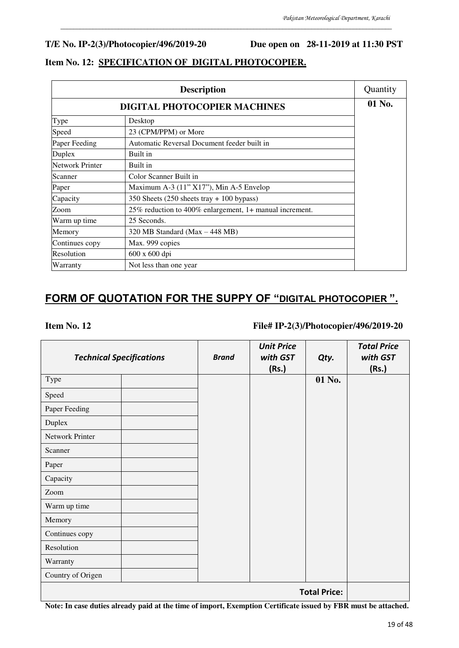### **T/E No. IP-2(3)/Photocopier/496/2019-20 Due open on 28-11-2019 at 11:30 PST**

### **Item No. 12: SPECIFICATION OF DIGITAL PHOTOCOPIER.**

|                                                                 | <b>Description</b>                          | Quantity |  |
|-----------------------------------------------------------------|---------------------------------------------|----------|--|
|                                                                 | 01 No.                                      |          |  |
| Type                                                            | Desktop                                     |          |  |
| Speed                                                           | 23 (CPM/PPM) or More                        |          |  |
| Paper Feeding                                                   | Automatic Reversal Document feeder built in |          |  |
| Duplex                                                          | Built in                                    |          |  |
| Network Printer                                                 | Built in                                    |          |  |
| Scanner                                                         | Color Scanner Built in                      |          |  |
| Paper                                                           | Maximum A-3 $(11" X17")$ , Min A-5 Envelop  |          |  |
| Capacity                                                        | 350 Sheets (250 sheets tray $+$ 100 bypass) |          |  |
| Zoom<br>25% reduction to 400% enlargement, 1+ manual increment. |                                             |          |  |
| Warm up time                                                    | 25 Seconds.                                 |          |  |
| Memory<br>320 MB Standard (Max - 448 MB)                        |                                             |          |  |
| Continues copy<br>Max. 999 copies                               |                                             |          |  |
| Resolution                                                      | 600 x 600 dpi                               |          |  |
| Warranty                                                        | Not less than one year                      |          |  |

\_\_\_\_\_\_\_\_\_\_\_\_\_\_\_\_\_\_\_\_\_\_\_\_\_\_\_\_\_\_\_\_\_\_\_\_\_\_\_\_\_\_\_\_\_\_\_\_\_\_\_\_\_\_\_\_\_\_\_\_\_\_\_\_\_\_\_\_\_\_\_\_\_\_\_\_\_\_\_\_\_\_\_\_\_\_\_\_\_\_\_\_\_\_\_\_\_\_\_\_\_\_\_

## **FORM OF QUOTATION FOR THE SUPPY OF "DIGITAL PHOTOCOPIER ".**

#### **Item No. 12 File# IP-2(3)/Photocopier/496/2019-20**

| <b>Technical Specifications</b> | <b>Brand</b> | <b>Unit Price</b><br>with GST | Qty.                | <b>Total Price</b><br>with GST |
|---------------------------------|--------------|-------------------------------|---------------------|--------------------------------|
|                                 |              | (Rs.)                         |                     | (Rs.)                          |
| Type                            |              |                               | 01 No.              |                                |
| Speed                           |              |                               |                     |                                |
| Paper Feeding                   |              |                               |                     |                                |
| Duplex                          |              |                               |                     |                                |
| Network Printer                 |              |                               |                     |                                |
| Scanner                         |              |                               |                     |                                |
| Paper                           |              |                               |                     |                                |
| Capacity                        |              |                               |                     |                                |
| Zoom                            |              |                               |                     |                                |
| Warm up time                    |              |                               |                     |                                |
| Memory                          |              |                               |                     |                                |
| Continues copy                  |              |                               |                     |                                |
| Resolution                      |              |                               |                     |                                |
| Warranty                        |              |                               |                     |                                |
| Country of Origen               |              |                               |                     |                                |
|                                 |              |                               | <b>Total Price:</b> |                                |

**Note: In case duties already paid at the time of import, Exemption Certificate issued by FBR must be attached.**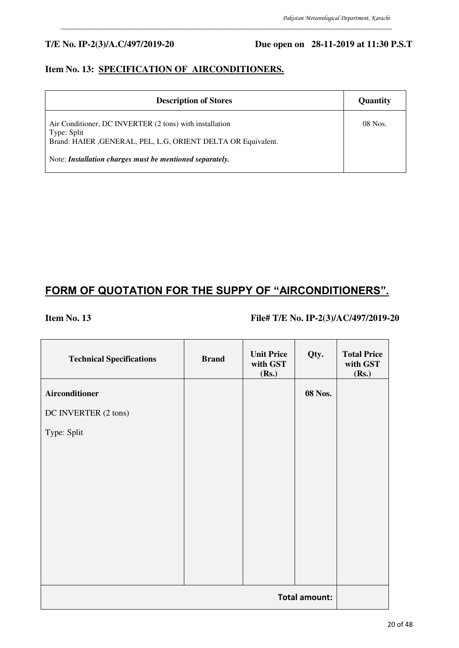**T/E No. IP-2(3)/A.C/497/2019-20 Due open on 28-11-2019 at 11:30 P.S.T** 

### **Item No. 13: SPECIFICATION OF AIRCONDITIONERS.**

| <b>Description of Stores</b>                                                                                                           | Quantity  |
|----------------------------------------------------------------------------------------------------------------------------------------|-----------|
| Air Conditioner, DC INVERTER (2 tons) with installation<br>Type: Split<br>Brand: HAIER, GENERAL, PEL, L.G, ORIENT DELTA OR Equivalent. | $08$ Nos. |
| Note: Installation charges must be mentioned separately.                                                                               |           |

\_\_\_\_\_\_\_\_\_\_\_\_\_\_\_\_\_\_\_\_\_\_\_\_\_\_\_\_\_\_\_\_\_\_\_\_\_\_\_\_\_\_\_\_\_\_\_\_\_\_\_\_\_\_\_\_\_\_\_\_\_\_\_\_\_\_\_\_\_\_\_\_\_\_\_\_\_\_\_\_\_\_\_\_\_\_\_\_\_\_\_\_\_\_\_\_\_\_\_\_\_\_\_

# **FORM OF QUOTATION FOR THE SUPPY OF "AIRCONDITIONERS".**

### **Item No. 13** File# T/E No. IP-2(3)/AC/497/2019-20

| <b>Technical Specifications</b> | <b>Brand</b> | <b>Unit Price</b><br>with GST<br>(Rs.) | Qty.    | <b>Total Price</b><br>with GST<br>(Rs.) |
|---------------------------------|--------------|----------------------------------------|---------|-----------------------------------------|
| <b>Airconditioner</b>           |              |                                        | 08 Nos. |                                         |
| DC INVERTER (2 tons)            |              |                                        |         |                                         |
| Type: Split                     |              |                                        |         |                                         |
|                                 |              |                                        |         |                                         |
|                                 |              |                                        |         |                                         |
|                                 |              |                                        |         |                                         |
|                                 |              |                                        |         |                                         |
|                                 |              |                                        |         |                                         |
|                                 |              |                                        |         |                                         |
|                                 |              |                                        |         |                                         |
| <b>Total amount:</b>            |              |                                        |         |                                         |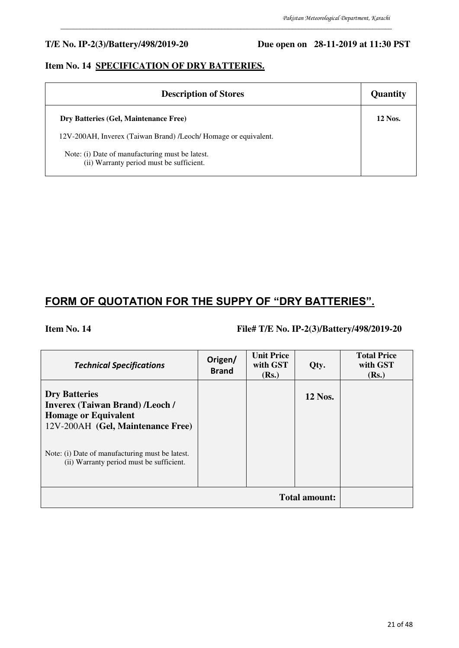#### **T/E No. IP-2(3)/Battery/498/2019-20 Due open on 28-11-2019 at 11:30 PST**

### **Item No. 14 SPECIFICATION OF DRY BATTERIES.**

| <b>Description of Stores</b>                                                                | <b>Quantity</b> |
|---------------------------------------------------------------------------------------------|-----------------|
| Dry Batteries (Gel, Maintenance Free)                                                       | 12 Nos.         |
| 12V-200AH, Inverex (Taiwan Brand) /Leoch/ Homage or equivalent.                             |                 |
| Note: (i) Date of manufacturing must be latest.<br>(ii) Warranty period must be sufficient. |                 |

\_\_\_\_\_\_\_\_\_\_\_\_\_\_\_\_\_\_\_\_\_\_\_\_\_\_\_\_\_\_\_\_\_\_\_\_\_\_\_\_\_\_\_\_\_\_\_\_\_\_\_\_\_\_\_\_\_\_\_\_\_\_\_\_\_\_\_\_\_\_\_\_\_\_\_\_\_\_\_\_\_\_\_\_\_\_\_\_\_\_\_\_\_\_\_\_\_\_\_\_\_\_\_

# **FORM OF QUOTATION FOR THE SUPPY OF "DRY BATTERIES".**

#### **Item No. 14** File# T/E No. IP-2(3)/Battery/498/2019-20

| <b>Technical Specifications</b>                                                                                                                                                                                                   | Origen/<br><b>Brand</b> | <b>Unit Price</b><br>with GST<br>(Rs.) | Qty.           | <b>Total Price</b><br>with GST<br>(Rs.) |
|-----------------------------------------------------------------------------------------------------------------------------------------------------------------------------------------------------------------------------------|-------------------------|----------------------------------------|----------------|-----------------------------------------|
| <b>Dry Batteries</b><br><b>Inverex (Taiwan Brand) /Leoch /</b><br><b>Homage or Equivalent</b><br>12V-200AH (Gel, Maintenance Free)<br>Note: (i) Date of manufacturing must be latest.<br>(ii) Warranty period must be sufficient. |                         |                                        | <b>12 Nos.</b> |                                         |
|                                                                                                                                                                                                                                   |                         |                                        |                |                                         |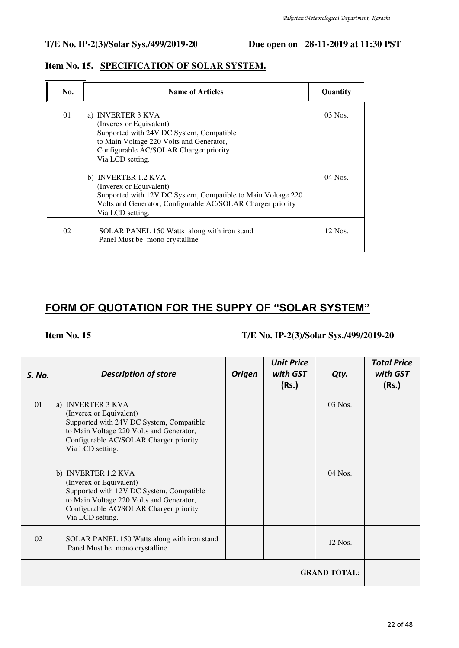### **T/E No. IP-2(3)/Solar Sys./499/2019-20 Due open on 28-11-2019 at 11:30 PST**

| Item No. 15. SPECIFICATION OF SOLAR SYSTEM. |  |
|---------------------------------------------|--|
|                                             |  |

| No. | <b>Name of Articles</b>                                                                                                                                                                            | Quantity  |
|-----|----------------------------------------------------------------------------------------------------------------------------------------------------------------------------------------------------|-----------|
| 01  | a) INVERTER 3 KVA<br>(Inverex or Equivalent)<br>Supported with 24V DC System, Compatible<br>to Main Voltage 220 Volts and Generator,<br>Configurable AC/SOLAR Charger priority<br>Via LCD setting. | $03$ Nos. |
|     | b) INVERTER 1.2 KVA<br>(Inverex or Equivalent)<br>Supported with 12V DC System, Compatible to Main Voltage 220<br>Volts and Generator, Configurable AC/SOLAR Charger priority<br>Via LCD setting.  | $04$ Nos. |
| 02  | SOLAR PANEL 150 Watts along with iron stand<br>Panel Must be mono crystalline                                                                                                                      | 12 Nos.   |

\_\_\_\_\_\_\_\_\_\_\_\_\_\_\_\_\_\_\_\_\_\_\_\_\_\_\_\_\_\_\_\_\_\_\_\_\_\_\_\_\_\_\_\_\_\_\_\_\_\_\_\_\_\_\_\_\_\_\_\_\_\_\_\_\_\_\_\_\_\_\_\_\_\_\_\_\_\_\_\_\_\_\_\_\_\_\_\_\_\_\_\_\_\_\_\_\_\_\_\_\_\_\_

# **FORM OF QUOTATION FOR THE SUPPY OF "SOLAR SYSTEM"**

### **Item No. 15 T/E No. IP-2(3)/Solar Sys./499/2019-20**

| S. No.              | <b>Description of store</b>                                                                                                                                                                          | <b>Origen</b> | <b>Unit Price</b><br>with GST<br>(Rs.) | Qty.      | <b>Total Price</b><br>with GST<br>(Rs.) |
|---------------------|------------------------------------------------------------------------------------------------------------------------------------------------------------------------------------------------------|---------------|----------------------------------------|-----------|-----------------------------------------|
| 01                  | a) INVERTER 3 KVA<br>(Inverex or Equivalent)<br>Supported with 24V DC System, Compatible<br>to Main Voltage 220 Volts and Generator,<br>Configurable AC/SOLAR Charger priority<br>Via LCD setting.   |               |                                        | $03$ Nos. |                                         |
|                     | b) INVERTER 1.2 KVA<br>(Inverex or Equivalent)<br>Supported with 12V DC System, Compatible<br>to Main Voltage 220 Volts and Generator,<br>Configurable AC/SOLAR Charger priority<br>Via LCD setting. |               |                                        | $04$ Nos. |                                         |
| 02                  | SOLAR PANEL 150 Watts along with iron stand<br>Panel Must be mono crystalline                                                                                                                        |               |                                        | 12 Nos.   |                                         |
| <b>GRAND TOTAL:</b> |                                                                                                                                                                                                      |               |                                        |           |                                         |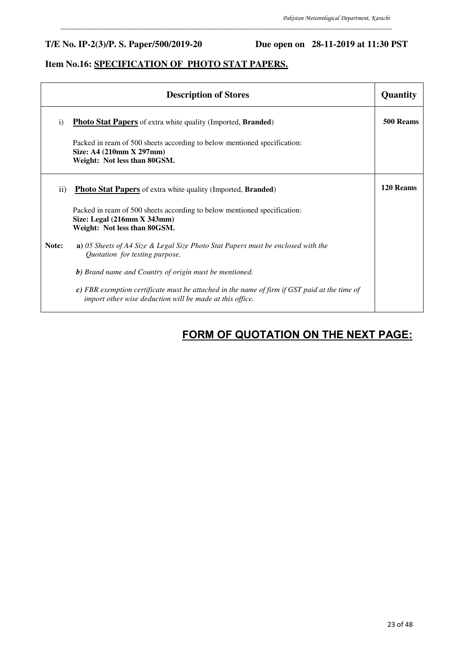### **T/E No. IP-2(3)/P. S. Paper/500/2019-20 Due open on 28-11-2019 at 11:30 PST**

### **Item No.16: SPECIFICATION OF PHOTO STAT PAPERS.**

|              | <b>Description of Stores</b>                                                                                                                             | Quantity  |
|--------------|----------------------------------------------------------------------------------------------------------------------------------------------------------|-----------|
| $\mathbf{i}$ | <b>Photo Stat Papers</b> of extra white quality (Imported, <b>Branded</b> )                                                                              | 500 Reams |
|              | Packed in ream of 500 sheets according to below mentioned specification:<br>Size: A4 (210mm X 297mm)<br>Weight: Not less than 80GSM.                     |           |
| $\rm ii)$    | <b>Photo Stat Papers</b> of extra white quality (Imported, <b>Branded</b> )                                                                              | 120 Reams |
|              | Packed in ream of 500 sheets according to below mentioned specification:<br>Size: Legal (216mm X 343mm)<br>Weight: Not less than 80GSM.                  |           |
| Note:        | a) 05 Sheets of A4 Size & Legal Size Photo Stat Papers must be enclosed with the<br>Quotation for testing purpose.                                       |           |
|              | <b>b</b> ) Brand name and Country of origin must be mentioned.                                                                                           |           |
|              | c) FBR exemption certificate must be attached in the name of firm if GST paid at the time of<br>import other wise deduction will be made at this office. |           |

\_\_\_\_\_\_\_\_\_\_\_\_\_\_\_\_\_\_\_\_\_\_\_\_\_\_\_\_\_\_\_\_\_\_\_\_\_\_\_\_\_\_\_\_\_\_\_\_\_\_\_\_\_\_\_\_\_\_\_\_\_\_\_\_\_\_\_\_\_\_\_\_\_\_\_\_\_\_\_\_\_\_\_\_\_\_\_\_\_\_\_\_\_\_\_\_\_\_\_\_\_\_\_

# **FORM OF QUOTATION ON THE NEXT PAGE:**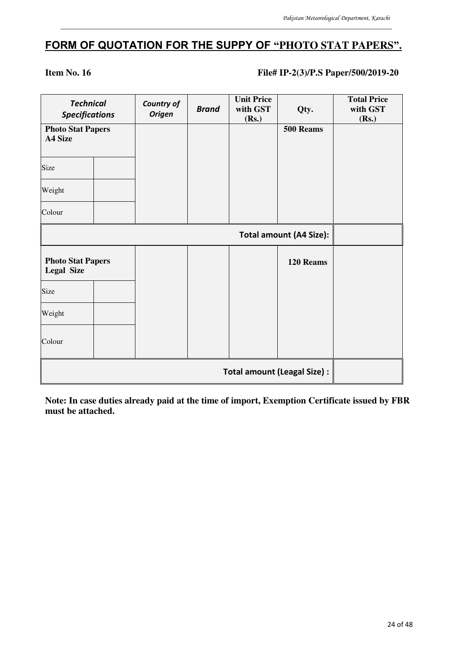# **FORM OF QUOTATION FOR THE SUPPY OF "PHOTO STAT PAPERS".**

\_\_\_\_\_\_\_\_\_\_\_\_\_\_\_\_\_\_\_\_\_\_\_\_\_\_\_\_\_\_\_\_\_\_\_\_\_\_\_\_\_\_\_\_\_\_\_\_\_\_\_\_\_\_\_\_\_\_\_\_\_\_\_\_\_\_\_\_\_\_\_\_\_\_\_\_\_\_\_\_\_\_\_\_\_\_\_\_\_\_\_\_\_\_\_\_\_\_\_\_\_\_\_

### **Item No. 16** File# IP-2(3)/P.S Paper/500/2019-20

| <b>Technical</b><br><b>Specifications</b>     |  | <b>Country of</b><br><b>Origen</b> | <b>Brand</b> | <b>Unit Price</b><br>with GST<br>(Rs.) | Qty.                           | <b>Total Price</b><br>with GST<br>(Rs.) |
|-----------------------------------------------|--|------------------------------------|--------------|----------------------------------------|--------------------------------|-----------------------------------------|
| <b>Photo Stat Papers</b><br>A4 Size           |  |                                    |              |                                        | 500 Reams                      |                                         |
| Size                                          |  |                                    |              |                                        |                                |                                         |
| Weight                                        |  |                                    |              |                                        |                                |                                         |
| Colour                                        |  |                                    |              |                                        |                                |                                         |
|                                               |  |                                    |              |                                        | <b>Total amount (A4 Size):</b> |                                         |
| <b>Photo Stat Papers</b><br><b>Legal Size</b> |  |                                    |              |                                        | 120 Reams                      |                                         |
| Size                                          |  |                                    |              |                                        |                                |                                         |
| Weight                                        |  |                                    |              |                                        |                                |                                         |
| Colour                                        |  |                                    |              |                                        |                                |                                         |
| <b>Total amount (Leagal Size):</b>            |  |                                    |              |                                        |                                |                                         |

**Note: In case duties already paid at the time of import, Exemption Certificate issued by FBR must be attached.**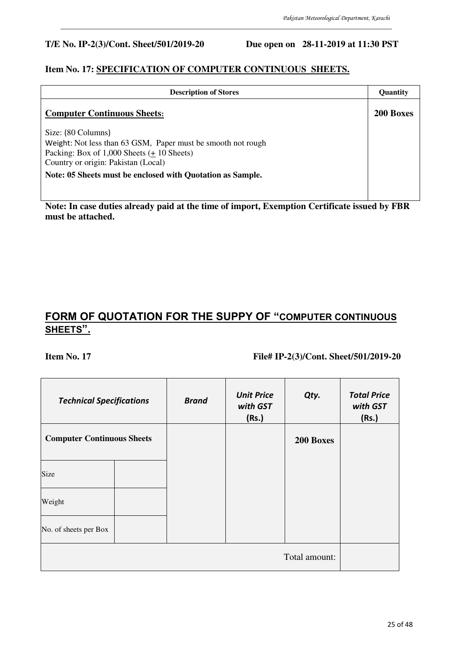#### **T/E No. IP-2(3)/Cont. Sheet/501/2019-20 Due open on 28-11-2019 at 11:30 PST**

### **Item No. 17: SPECIFICATION OF COMPUTER CONTINUOUS SHEETS.**

| Quantity  |
|-----------|
| 200 Boxes |
|           |
|           |
|           |

\_\_\_\_\_\_\_\_\_\_\_\_\_\_\_\_\_\_\_\_\_\_\_\_\_\_\_\_\_\_\_\_\_\_\_\_\_\_\_\_\_\_\_\_\_\_\_\_\_\_\_\_\_\_\_\_\_\_\_\_\_\_\_\_\_\_\_\_\_\_\_\_\_\_\_\_\_\_\_\_\_\_\_\_\_\_\_\_\_\_\_\_\_\_\_\_\_\_\_\_\_\_\_

**Note: In case duties already paid at the time of import, Exemption Certificate issued by FBR must be attached.** 

# **FORM OF QUOTATION FOR THE SUPPY OF "COMPUTER CONTINUOUS SHEETS".**

#### **Item No. 17 File# IP-2(3)/Cont. Sheet/501/2019-20**

| <b>Technical Specifications</b>   |  | <b>Brand</b> | <b>Unit Price</b><br>with GST<br>(Rs.) | Qty.      | <b>Total Price</b><br>with GST<br>(Rs.) |
|-----------------------------------|--|--------------|----------------------------------------|-----------|-----------------------------------------|
| <b>Computer Continuous Sheets</b> |  |              |                                        | 200 Boxes |                                         |
| Size                              |  |              |                                        |           |                                         |
| Weight                            |  |              |                                        |           |                                         |
| No. of sheets per Box             |  |              |                                        |           |                                         |
|                                   |  |              |                                        |           |                                         |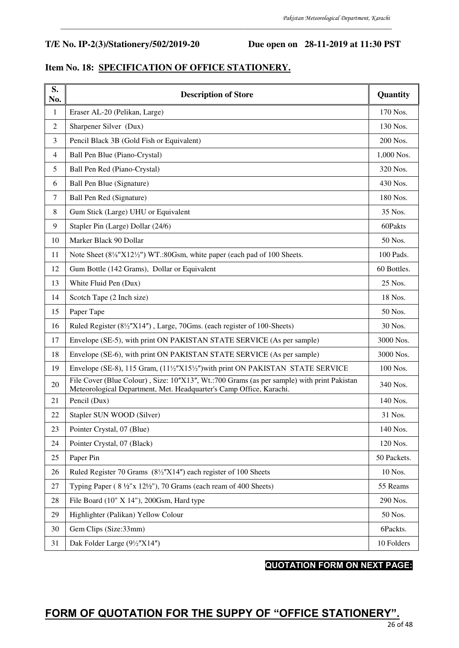### **T/E No. IP-2(3)/Stationery/502/2019-20 Due open on 28-11-2019 at 11:30 PST**

### **Item No. 18: SPECIFICATION OF OFFICE STATIONERY.**

| S.<br>No.    | <b>Description of Store</b>                                                                                                                                       | <b>Quantity</b> |
|--------------|-------------------------------------------------------------------------------------------------------------------------------------------------------------------|-----------------|
| $\mathbf{1}$ | Eraser AL-20 (Pelikan, Large)                                                                                                                                     | 170 Nos.        |
| 2            | Sharpener Silver (Dux)                                                                                                                                            | 130 Nos.        |
| 3            | Pencil Black 3B (Gold Fish or Equivalent)                                                                                                                         | 200 Nos.        |
| 4            | Ball Pen Blue (Piano-Crystal)                                                                                                                                     | 1,000 Nos.      |
| 5            | Ball Pen Red (Piano-Crystal)                                                                                                                                      | 320 Nos.        |
| 6            | Ball Pen Blue (Signature)                                                                                                                                         | 430 Nos.        |
| $\tau$       | Ball Pen Red (Signature)                                                                                                                                          | 180 Nos.        |
| $\,8\,$      | Gum Stick (Large) UHU or Equivalent                                                                                                                               | 35 Nos.         |
| 9            | Stapler Pin (Large) Dollar (24/6)                                                                                                                                 | 60Pakts         |
| 10           | Marker Black 90 Dollar                                                                                                                                            | 50 Nos.         |
| 11           | Note Sheet (81/8"X121/2") WT.:80Gsm, white paper (each pad of 100 Sheets.                                                                                         | 100 Pads.       |
| 12           | Gum Bottle (142 Grams), Dollar or Equivalent                                                                                                                      | 60 Bottles.     |
| 13           | White Fluid Pen (Dux)                                                                                                                                             | 25 Nos.         |
| 14           | Scotch Tape (2 Inch size)                                                                                                                                         | 18 Nos.         |
| 15           | Paper Tape                                                                                                                                                        | 50 Nos.         |
| 16           | Ruled Register (8½"X14"), Large, 70Gms. (each register of 100-Sheets)                                                                                             | 30 Nos.         |
| 17           | Envelope (SE-5), with print ON PAKISTAN STATE SERVICE (As per sample)                                                                                             | 3000 Nos.       |
| 18           | Envelope (SE-6), with print ON PAKISTAN STATE SERVICE (As per sample)                                                                                             | 3000 Nos.       |
| 19           | Envelope (SE-8), 115 Gram, (11½"X15½") with print ON PAKISTAN STATE SERVICE                                                                                       | 100 Nos.        |
| 20           | File Cover (Blue Colour), Size: 10"X13", Wt.:700 Grams (as per sample) with print Pakistan<br>Meteorological Department, Met. Headquarter's Camp Office, Karachi. | 340 Nos.        |
| 21           | Pencil (Dux)                                                                                                                                                      | 140 Nos.        |
| 22           | Stapler SUN WOOD (Silver)                                                                                                                                         | 31 Nos.         |
| 23           | Pointer Crystal, 07 (Blue)                                                                                                                                        | 140 Nos.        |
| 24           | Pointer Crystal, 07 (Black)                                                                                                                                       | 120 Nos.        |
| 25           | Paper Pin                                                                                                                                                         | 50 Packets.     |
| 26           | Ruled Register 70 Grams (8½"X14") each register of 100 Sheets                                                                                                     | 10 Nos.         |
| 27           | Typing Paper (8 1/2"x 121/2"), 70 Grams (each ream of 400 Sheets)                                                                                                 | 55 Reams        |
| 28           | File Board (10" X 14"), 200Gsm, Hard type                                                                                                                         | 290 Nos.        |
| 29           | Highlighter (Palikan) Yellow Colour                                                                                                                               | 50 Nos.         |
| 30           | Gem Clips (Size:33mm)                                                                                                                                             | 6Packts.        |
| 31           | Dak Folder Large (9½"X14")                                                                                                                                        | 10 Folders      |

\_\_\_\_\_\_\_\_\_\_\_\_\_\_\_\_\_\_\_\_\_\_\_\_\_\_\_\_\_\_\_\_\_\_\_\_\_\_\_\_\_\_\_\_\_\_\_\_\_\_\_\_\_\_\_\_\_\_\_\_\_\_\_\_\_\_\_\_\_\_\_\_\_\_\_\_\_\_\_\_\_\_\_\_\_\_\_\_\_\_\_\_\_\_\_\_\_\_\_\_\_\_\_

### **QUOTATION FORM ON NEXT PAGE:**

**FORM OF QUOTATION FOR THE SUPPY OF "OFFICE STATIONERY".**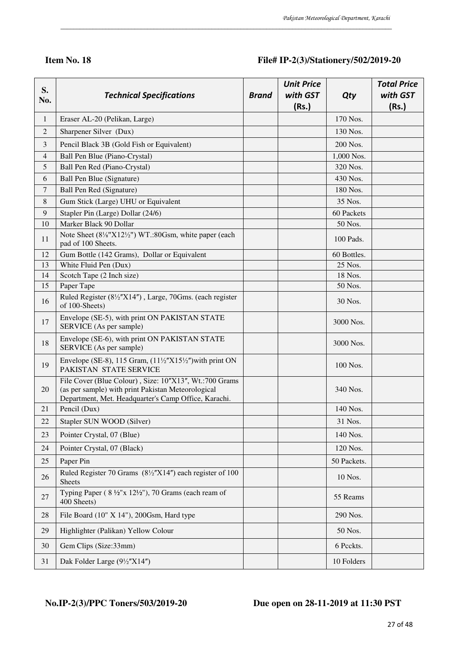### **Item No. 18** File# IP-2(3)/Stationery/502/2019-20

| S.<br>No.    | <b>Technical Specifications</b>                                                                                                                                      | <b>Brand</b> | <b>Unit Price</b><br>with GST<br>(Rs.) | Qty         | <b>Total Price</b><br>with GST<br>(Rs.) |
|--------------|----------------------------------------------------------------------------------------------------------------------------------------------------------------------|--------------|----------------------------------------|-------------|-----------------------------------------|
| $\mathbf{1}$ | Eraser AL-20 (Pelikan, Large)                                                                                                                                        |              |                                        | 170 Nos.    |                                         |
| 2            | Sharpener Silver (Dux)                                                                                                                                               |              |                                        | 130 Nos.    |                                         |
| 3            | Pencil Black 3B (Gold Fish or Equivalent)                                                                                                                            |              |                                        | 200 Nos.    |                                         |
| 4            | Ball Pen Blue (Piano-Crystal)                                                                                                                                        |              |                                        | 1,000 Nos.  |                                         |
| 5            | Ball Pen Red (Piano-Crystal)                                                                                                                                         |              |                                        | 320 Nos.    |                                         |
| 6            | <b>Ball Pen Blue (Signature)</b>                                                                                                                                     |              |                                        | 430 Nos.    |                                         |
| 7            | Ball Pen Red (Signature)                                                                                                                                             |              |                                        | 180 Nos.    |                                         |
| 8            | Gum Stick (Large) UHU or Equivalent                                                                                                                                  |              |                                        | 35 Nos.     |                                         |
| 9            | Stapler Pin (Large) Dollar (24/6)                                                                                                                                    |              |                                        | 60 Packets  |                                         |
| 10           | Marker Black 90 Dollar                                                                                                                                               |              |                                        | 50 Nos.     |                                         |
| 11           | Note Sheet (81/8"X121/2") WT.:80Gsm, white paper (each<br>pad of 100 Sheets.                                                                                         |              |                                        | 100 Pads.   |                                         |
| 12           | Gum Bottle (142 Grams), Dollar or Equivalent                                                                                                                         |              |                                        | 60 Bottles. |                                         |
| 13           | White Fluid Pen (Dux)                                                                                                                                                |              |                                        | 25 Nos.     |                                         |
| 14           | Scotch Tape (2 Inch size)                                                                                                                                            |              |                                        | 18 Nos.     |                                         |
| 15           | Paper Tape                                                                                                                                                           |              |                                        | 50 Nos.     |                                         |
| 16           | Ruled Register (8½"X14"), Large, 70Gms. (each register<br>of 100-Sheets)                                                                                             |              |                                        | 30 Nos.     |                                         |
| 17           | Envelope (SE-5), with print ON PAKISTAN STATE<br>SERVICE (As per sample)                                                                                             |              |                                        | 3000 Nos.   |                                         |
| 18           | Envelope (SE-6), with print ON PAKISTAN STATE<br>SERVICE (As per sample)                                                                                             |              |                                        | 3000 Nos.   |                                         |
| 19           | Envelope (SE-8), 115 Gram, $(11\frac{1}{2}X15\frac{1}{2})$ with print ON<br>PAKISTAN STATE SERVICE                                                                   |              |                                        | 100 Nos.    |                                         |
| 20           | File Cover (Blue Colour), Size: 10"X13", Wt.:700 Grams<br>(as per sample) with print Pakistan Meteorological<br>Department, Met. Headquarter's Camp Office, Karachi. |              |                                        | 340 Nos.    |                                         |
| 21           | Pencil (Dux)                                                                                                                                                         |              |                                        | 140 Nos.    |                                         |
| $22\,$       | Stapler SUN WOOD (Silver)                                                                                                                                            |              |                                        | 31 Nos.     |                                         |
| 23           | Pointer Crystal, 07 (Blue)                                                                                                                                           |              |                                        | 140 Nos.    |                                         |
| 24           | Pointer Crystal, 07 (Black)                                                                                                                                          |              |                                        | 120 Nos.    |                                         |
| 25           | Paper Pin                                                                                                                                                            |              |                                        | 50 Packets. |                                         |
| 26           | Ruled Register 70 Grams (8½"X14") each register of 100<br><b>Sheets</b>                                                                                              |              |                                        | 10 Nos.     |                                         |
| 27           | Typing Paper ( $8\frac{1}{2}$ "x 12½"), 70 Grams (each ream of<br>400 Sheets)                                                                                        |              |                                        | 55 Reams    |                                         |
| 28           | File Board $(10" X 14")$ , 200Gsm, Hard type                                                                                                                         |              |                                        | 290 Nos.    |                                         |
| 29           | Highlighter (Palikan) Yellow Colour                                                                                                                                  |              |                                        | 50 Nos.     |                                         |
| 30           | Gem Clips (Size:33mm)                                                                                                                                                |              |                                        | 6 Pcckts.   |                                         |
| 31           | Dak Folder Large (9½"X14")                                                                                                                                           |              |                                        | 10 Folders  |                                         |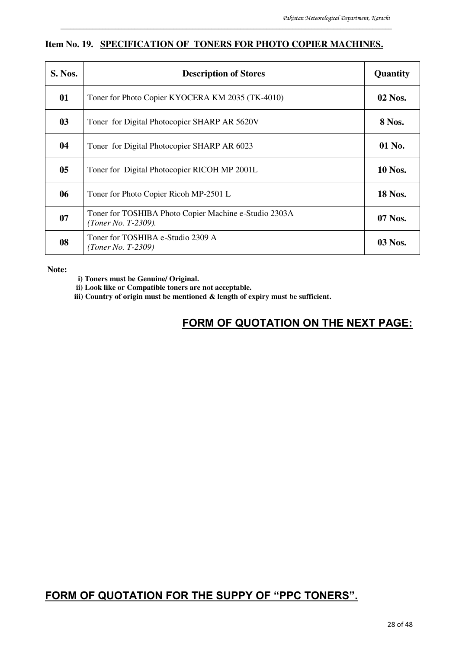| S. Nos.        | <b>Description of Stores</b>                                                 | Quantity       |
|----------------|------------------------------------------------------------------------------|----------------|
| 01             | Toner for Photo Copier KYOCERA KM 2035 (TK-4010)                             | $02$ Nos.      |
| 03             | Toner for Digital Photocopier SHARP AR 5620V                                 | 8 Nos.         |
| 04             | Toner for Digital Photocopier SHARP AR 6023                                  | 01 No.         |
| 0 <sub>5</sub> | Toner for Digital Photocopier RICOH MP 2001L                                 | <b>10 Nos.</b> |
| 06             | Toner for Photo Copier Ricoh MP-2501 L                                       | <b>18 Nos.</b> |
| 07             | Toner for TOSHIBA Photo Copier Machine e-Studio 2303A<br>(Toner No. T-2309). | 07 Nos.        |
| 08             | Toner for TOSHIBA e-Studio 2309 A<br>(Toner No. T-2309)                      | 03 Nos.        |

#### **Item No. 19. SPECIFICATION OF TONERS FOR PHOTO COPIER MACHINES.**

\_\_\_\_\_\_\_\_\_\_\_\_\_\_\_\_\_\_\_\_\_\_\_\_\_\_\_\_\_\_\_\_\_\_\_\_\_\_\_\_\_\_\_\_\_\_\_\_\_\_\_\_\_\_\_\_\_\_\_\_\_\_\_\_\_\_\_\_\_\_\_\_\_\_\_\_\_\_\_\_\_\_\_\_\_\_\_\_\_\_\_\_\_\_\_\_\_\_\_\_\_\_\_

 **Note:** 

 **i) Toners must be Genuine/ Original.** 

 **ii) Look like or Compatible toners are not acceptable.** 

 **iii) Country of origin must be mentioned & length of expiry must be sufficient.** 

# **FORM OF QUOTATION ON THE NEXT PAGE:**

## **FORM OF QUOTATION FOR THE SUPPY OF "PPC TONERS".**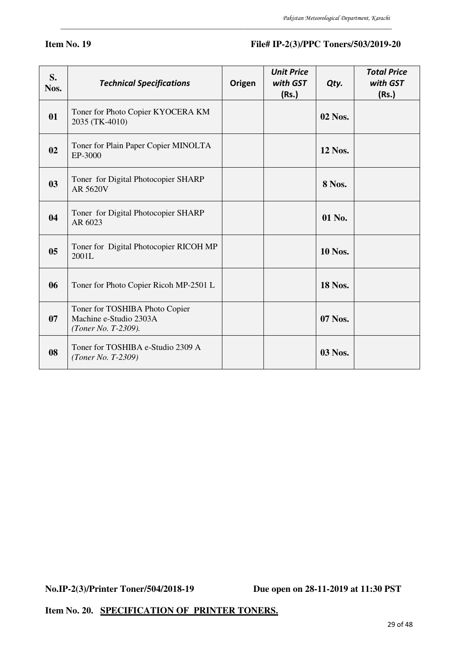#### **Item No. 19** File# IP-2(3)/PPC Toners/503/2019-20

| S.<br>Nos.     | <b>Technical Specifications</b>                                                 | Origen | <b>Unit Price</b><br>with GST<br>(Rs.) | Qty.           | <b>Total Price</b><br>with GST<br>(Rs.) |
|----------------|---------------------------------------------------------------------------------|--------|----------------------------------------|----------------|-----------------------------------------|
| 01             | Toner for Photo Copier KYOCERA KM<br>2035 (TK-4010)                             |        |                                        | 02 Nos.        |                                         |
| 02             | Toner for Plain Paper Copier MINOLTA<br>EP-3000                                 |        |                                        | <b>12 Nos.</b> |                                         |
| 03             | Toner for Digital Photocopier SHARP<br><b>AR 5620V</b>                          |        |                                        | 8 Nos.         |                                         |
| 04             | Toner for Digital Photocopier SHARP<br>AR 6023                                  |        |                                        | 01 No.         |                                         |
| 0 <sub>5</sub> | Toner for Digital Photocopier RICOH MP<br>2001L                                 |        |                                        | <b>10 Nos.</b> |                                         |
| 06             | Toner for Photo Copier Ricoh MP-2501 L                                          |        |                                        | <b>18 Nos.</b> |                                         |
| 07             | Toner for TOSHIBA Photo Copier<br>Machine e-Studio 2303A<br>(Toner No. T-2309). |        |                                        | 07 Nos.        |                                         |
| 08             | Toner for TOSHIBA e-Studio 2309 A<br>$(Toner No. T-2309)$                       |        |                                        | 03 Nos.        |                                         |

\_\_\_\_\_\_\_\_\_\_\_\_\_\_\_\_\_\_\_\_\_\_\_\_\_\_\_\_\_\_\_\_\_\_\_\_\_\_\_\_\_\_\_\_\_\_\_\_\_\_\_\_\_\_\_\_\_\_\_\_\_\_\_\_\_\_\_\_\_\_\_\_\_\_\_\_\_\_\_\_\_\_\_\_\_\_\_\_\_\_\_\_\_\_\_\_\_\_\_\_\_\_\_

**No.IP-2(3)/Printer Toner/504/2018-19 Due open on 28-11-2019 at 11:30 PST** 

### **Item No. 20. SPECIFICATION OF PRINTER TONERS.**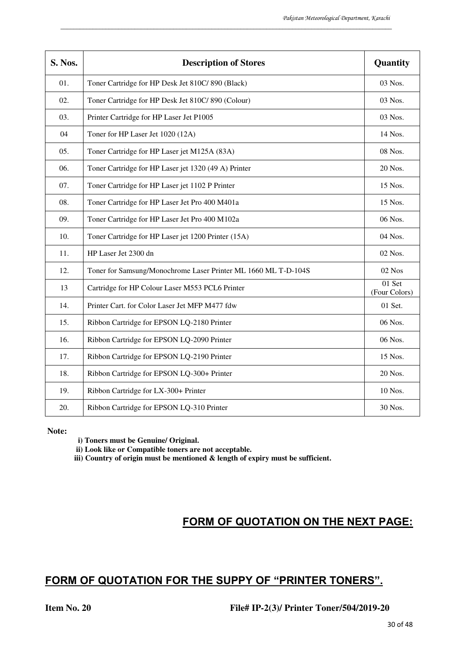| S. Nos. | <b>Description of Stores</b>                                   | Quantity                |
|---------|----------------------------------------------------------------|-------------------------|
| 01.     | Toner Cartridge for HP Desk Jet 810C/890 (Black)               | 03 Nos.                 |
| 02.     | Toner Cartridge for HP Desk Jet 810C/890 (Colour)              | 03 Nos.                 |
| 03.     | Printer Cartridge for HP Laser Jet P1005                       | 03 Nos.                 |
| 04      | Toner for HP Laser Jet 1020 (12A)                              | 14 Nos.                 |
| 05.     | Toner Cartridge for HP Laser jet M125A (83A)                   | 08 Nos.                 |
| 06.     | Toner Cartridge for HP Laser jet 1320 (49 A) Printer           | 20 Nos.                 |
| 07.     | Toner Cartridge for HP Laser jet 1102 P Printer                | 15 Nos.                 |
| 08.     | Toner Cartridge for HP Laser Jet Pro 400 M401a                 | 15 Nos.                 |
| 09.     | Toner Cartridge for HP Laser Jet Pro 400 M102a                 | 06 Nos.                 |
| 10.     | Toner Cartridge for HP Laser jet 1200 Printer (15A)            | 04 Nos.                 |
| 11.     | HP Laser Jet 2300 dn                                           | 02 Nos.                 |
| 12.     | Toner for Samsung/Monochrome Laser Printer ML 1660 ML T-D-104S | 02 Nos                  |
| 13      | Cartridge for HP Colour Laser M553 PCL6 Printer                | 01 Set<br>(Four Colors) |
| 14.     | Printer Cart. for Color Laser Jet MFP M477 fdw                 | 01 Set.                 |
| 15.     | Ribbon Cartridge for EPSON LQ-2180 Printer                     | 06 Nos.                 |
| 16.     | Ribbon Cartridge for EPSON LQ-2090 Printer                     | 06 Nos.                 |
| 17.     | Ribbon Cartridge for EPSON LQ-2190 Printer                     | 15 Nos.                 |
| 18.     | Ribbon Cartridge for EPSON LQ-300+ Printer                     | 20 Nos.                 |
| 19.     | Ribbon Cartridge for LX-300+ Printer                           | 10 Nos.                 |
| 20.     | Ribbon Cartridge for EPSON LQ-310 Printer                      | 30 Nos.                 |

 **Note:** 

 **i) Toners must be Genuine/ Original.** 

 **ii) Look like or Compatible toners are not acceptable.** 

 **iii) Country of origin must be mentioned & length of expiry must be sufficient.** 

## **FORM OF QUOTATION ON THE NEXT PAGE:**

## **FORM OF QUOTATION FOR THE SUPPY OF "PRINTER TONERS".**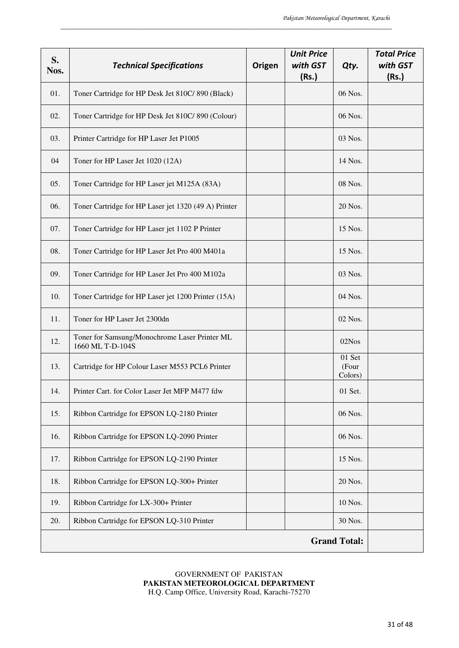| S.<br>Nos.          | <b>Technical Specifications</b>                                   | Origen | <b>Unit Price</b><br>with GST<br>(Rs.) | Qty.                       | <b>Total Price</b><br>with GST<br>(Rs.) |
|---------------------|-------------------------------------------------------------------|--------|----------------------------------------|----------------------------|-----------------------------------------|
| 01.                 | Toner Cartridge for HP Desk Jet 810C/890 (Black)                  |        |                                        | 06 Nos.                    |                                         |
| 02.                 | Toner Cartridge for HP Desk Jet 810C/890 (Colour)                 |        |                                        | 06 Nos.                    |                                         |
| 03.                 | Printer Cartridge for HP Laser Jet P1005                          |        |                                        | 03 Nos.                    |                                         |
| 04                  | Toner for HP Laser Jet 1020 (12A)                                 |        |                                        | 14 Nos.                    |                                         |
| 05.                 | Toner Cartridge for HP Laser jet M125A (83A)                      |        |                                        | 08 Nos.                    |                                         |
| 06.                 | Toner Cartridge for HP Laser jet 1320 (49 A) Printer              |        |                                        | 20 Nos.                    |                                         |
| 07.                 | Toner Cartridge for HP Laser jet 1102 P Printer                   |        |                                        | 15 Nos.                    |                                         |
| 08.                 | Toner Cartridge for HP Laser Jet Pro 400 M401a                    |        |                                        | 15 Nos.                    |                                         |
| 09.                 | Toner Cartridge for HP Laser Jet Pro 400 M102a                    |        |                                        | 03 Nos.                    |                                         |
| 10.                 | Toner Cartridge for HP Laser jet 1200 Printer (15A)               |        |                                        | 04 Nos.                    |                                         |
| 11.                 | Toner for HP Laser Jet 2300dn                                     |        |                                        | 02 Nos.                    |                                         |
| 12.                 | Toner for Samsung/Monochrome Laser Printer ML<br>1660 ML T-D-104S |        |                                        | 02Nos                      |                                         |
| 13.                 | Cartridge for HP Colour Laser M553 PCL6 Printer                   |        |                                        | 01 Set<br>(Four<br>Colors) |                                         |
| 14.                 | Printer Cart. for Color Laser Jet MFP M477 fdw                    |        |                                        | 01 Set.                    |                                         |
| 15.                 | Ribbon Cartridge for EPSON LQ-2180 Printer                        |        |                                        | 06 Nos.                    |                                         |
| 16.                 | Ribbon Cartridge for EPSON LQ-2090 Printer                        |        |                                        | 06 Nos.                    |                                         |
| 17.                 | Ribbon Cartridge for EPSON LQ-2190 Printer                        |        |                                        | 15 Nos.                    |                                         |
| 18.                 | Ribbon Cartridge for EPSON LQ-300+ Printer                        |        |                                        | 20 Nos.                    |                                         |
| 19.                 | Ribbon Cartridge for LX-300+ Printer                              |        |                                        | 10 Nos.                    |                                         |
| 20.                 | Ribbon Cartridge for EPSON LQ-310 Printer                         |        |                                        | 30 Nos.                    |                                         |
| <b>Grand Total:</b> |                                                                   |        |                                        |                            |                                         |

GOVERNMENT OF PAKISTAN **PAKISTAN METEOROLOGICAL DEPARTMENT** H.Q. Camp Office, University Road, Karachi-75270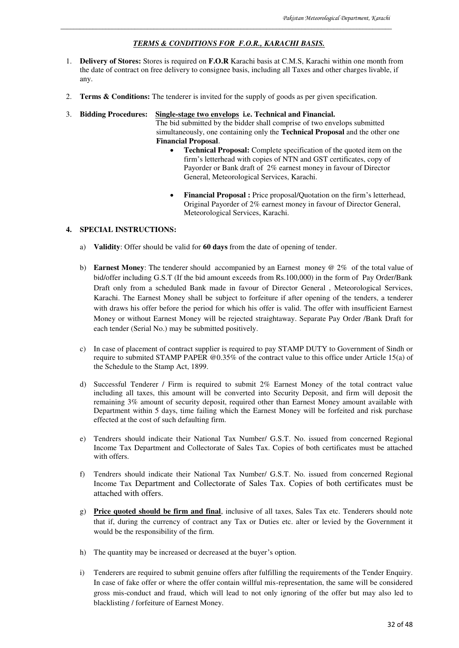#### *TERMS & CONDITIONS FOR F.O.R., KARACHI BASIS.*

\_\_\_\_\_\_\_\_\_\_\_\_\_\_\_\_\_\_\_\_\_\_\_\_\_\_\_\_\_\_\_\_\_\_\_\_\_\_\_\_\_\_\_\_\_\_\_\_\_\_\_\_\_\_\_\_\_\_\_\_\_\_\_\_\_\_\_\_\_\_\_\_\_\_\_\_\_\_\_\_\_\_\_\_\_\_\_\_\_\_\_\_\_\_\_\_\_\_\_\_\_\_\_

- 1. **Delivery of Stores:** Stores is required on **F.O.R** Karachi basis at C.M.S, Karachi within one month from the date of contract on free delivery to consignee basis, including all Taxes and other charges livable, if any.
- 2. **Terms & Conditions:** The tenderer is invited for the supply of goods as per given specification.

#### 3. **Bidding Procedures: Single-stage two envelops i.e. Technical and Financial.**

 The bid submitted by the bidder shall comprise of two envelops submitted simultaneously, one containing only the **Technical Proposal** and the other one **Financial Proposal**.

- **Technical Proposal:** Complete specification of the quoted item on the firm's letterhead with copies of NTN and GST certificates, copy of Payorder or Bank draft of 2% earnest money in favour of Director General, Meteorological Services, Karachi.
- Financial Proposal : Price proposal/Quotation on the firm's letterhead, Original Payorder of 2% earnest money in favour of Director General, Meteorological Services, Karachi.

#### **4. SPECIAL INSTRUCTIONS:**

- a) **Validity**: Offer should be valid for **60 days** from the date of opening of tender.
- b) **Earnest Money**: The tenderer should accompanied by an Earnest money @ 2% of the total value of bid/offer including G.S.T (If the bid amount exceeds from Rs.100,000) in the form of Pay Order/Bank Draft only from a scheduled Bank made in favour of Director General , Meteorological Services, Karachi. The Earnest Money shall be subject to forfeiture if after opening of the tenders, a tenderer with draws his offer before the period for which his offer is valid. The offer with insufficient Earnest Money or without Earnest Money will be rejected straightaway. Separate Pay Order /Bank Draft for each tender (Serial No.) may be submitted positively.
- c) In case of placement of contract supplier is required to pay STAMP DUTY to Government of Sindh or require to submited STAMP PAPER @0.35% of the contract value to this office under Article 15(a) of the Schedule to the Stamp Act, 1899.
- d) Successful Tenderer / Firm is required to submit 2% Earnest Money of the total contract value including all taxes, this amount will be converted into Security Deposit, and firm will deposit the remaining 3% amount of security deposit, required other than Earnest Money amount available with Department within 5 days, time failing which the Earnest Money will be forfeited and risk purchase effected at the cost of such defaulting firm.
- e) Tendrers should indicate their National Tax Number/ G.S.T. No. issued from concerned Regional Income Tax Department and Collectorate of Sales Tax. Copies of both certificates must be attached with offers.
- f) Tendrers should indicate their National Tax Number/ G.S.T. No. issued from concerned Regional Income Tax Department and Collectorate of Sales Tax. Copies of both certificates must be attached with offers.
- g) **Price quoted should be firm and final**, inclusive of all taxes, Sales Tax etc. Tenderers should note that if, during the currency of contract any Tax or Duties etc. alter or levied by the Government it would be the responsibility of the firm.
- h) The quantity may be increased or decreased at the buyer's option.
- i) Tenderers are required to submit genuine offers after fulfilling the requirements of the Tender Enquiry. In case of fake offer or where the offer contain willful mis-representation, the same will be considered gross mis-conduct and fraud, which will lead to not only ignoring of the offer but may also led to blacklisting / forfeiture of Earnest Money.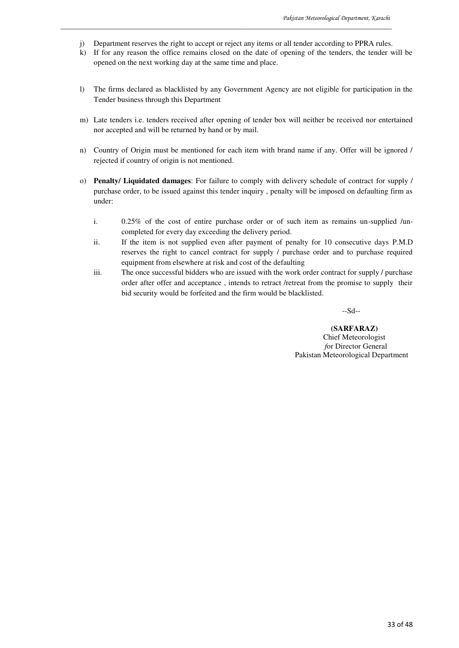j) Department reserves the right to accept or reject any items or all tender according to PPRA rules.

\_\_\_\_\_\_\_\_\_\_\_\_\_\_\_\_\_\_\_\_\_\_\_\_\_\_\_\_\_\_\_\_\_\_\_\_\_\_\_\_\_\_\_\_\_\_\_\_\_\_\_\_\_\_\_\_\_\_\_\_\_\_\_\_\_\_\_\_\_\_\_\_\_\_\_\_\_\_\_\_\_\_\_\_\_\_\_\_\_\_\_\_\_\_\_\_\_\_\_\_\_\_\_

- k) If for any reason the office remains closed on the date of opening of the tenders, the tender will be opened on the next working day at the same time and place.
- l) The firms declared as blacklisted by any Government Agency are not eligible for participation in the Tender business through this Department
- m) Late tenders i.e. tenders received after opening of tender box will neither be received nor entertained nor accepted and will be returned by hand or by mail.
- n) Country of Origin must be mentioned for each item with brand name if any. Offer will be ignored / rejected if country of origin is not mentioned.
- o) **Penalty/ Liquidated damages**: For failure to comply with delivery schedule of contract for supply / purchase order, to be issued against this tender inquiry , penalty will be imposed on defaulting firm as under:
	- i. 0.25% of the cost of entire purchase order or of such item as remains un-supplied /uncompleted for every day exceeding the delivery period.
	- ii. If the item is not supplied even after payment of penalty for 10 consecutive days P.M.D reserves the right to cancel contract for supply / purchase order and to purchase required equipment from elsewhere at risk and cost of the defaulting
	- iii. The once successful bidders who are issued with the work order contract for supply / purchase order after offer and acceptance , intends to retract /retreat from the promise to supply their bid security would be forfeited and the firm would be blacklisted.

--Sd--

 **(SARFARAZ)** Chief Meteorologist *f*or Director General Pakistan Meteorological Department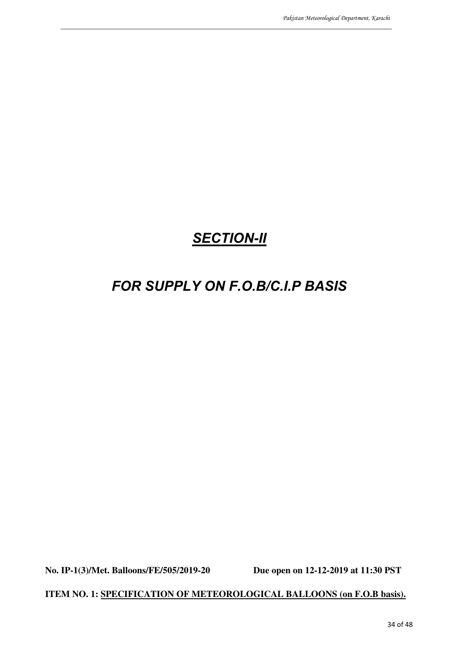# *SECTION-II*

\_\_\_\_\_\_\_\_\_\_\_\_\_\_\_\_\_\_\_\_\_\_\_\_\_\_\_\_\_\_\_\_\_\_\_\_\_\_\_\_\_\_\_\_\_\_\_\_\_\_\_\_\_\_\_\_\_\_\_\_\_\_\_\_\_\_\_\_\_\_\_\_\_\_\_\_\_\_\_\_\_\_\_\_\_\_\_\_\_\_\_\_\_\_\_\_\_\_\_\_\_\_\_

# *FOR SUPPLY ON F.O.B/C.I.P BASIS*

**No. IP-1(3)/Met. Balloons/FE/505/2019-20 Due open on 12-12-2019 at 11:30 PST** 

**ITEM NO. 1: SPECIFICATION OF METEOROLOGICAL BALLOONS (on F.O.B basis).**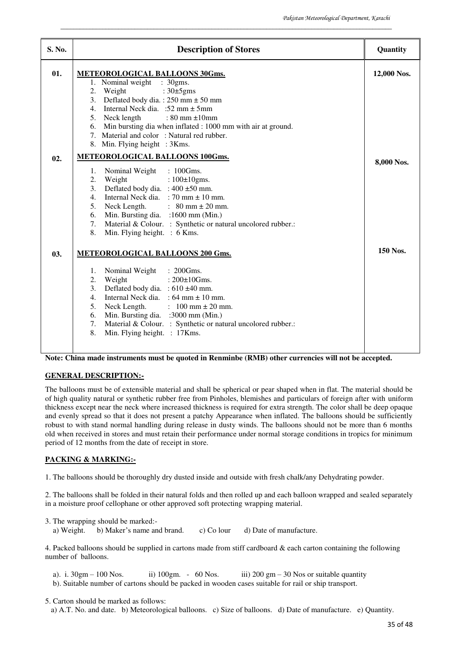| S. No.                                     | <b>Description of Stores</b>                                                                                                                                                                                                          | Quantity    |
|--------------------------------------------|---------------------------------------------------------------------------------------------------------------------------------------------------------------------------------------------------------------------------------------|-------------|
| 01.                                        | <b>METEOROLOGICAL BALLOONS 30Gms.</b>                                                                                                                                                                                                 | 12,000 Nos. |
|                                            | 1. Nominal weight<br>: 30gms.                                                                                                                                                                                                         |             |
|                                            | 2.<br>Weight<br>: $30\pm5$ gms                                                                                                                                                                                                        |             |
|                                            | 3. Deflated body dia.: $250 \text{ mm} \pm 50 \text{ mm}$                                                                                                                                                                             |             |
|                                            | Internal Neck dia. :52 mm $\pm$ 5mm<br>4.                                                                                                                                                                                             |             |
|                                            | 5. Neck length<br>: $80 \text{ mm} \pm 10 \text{mm}$                                                                                                                                                                                  |             |
|                                            | 6.<br>Min bursting dia when inflated : 1000 mm with air at ground.                                                                                                                                                                    |             |
|                                            | Material and color : Natural red rubber.<br>7.                                                                                                                                                                                        |             |
|                                            | 8. Min. Flying height : 3Kms.                                                                                                                                                                                                         |             |
| 02.                                        | METEOROLOGICAL BALLOONS 100Gms.                                                                                                                                                                                                       |             |
|                                            |                                                                                                                                                                                                                                       | 8,000 Nos.  |
|                                            | Nominal Weight : 100Gms.<br>1.<br>: $100 \pm 10$ gms.<br>2.<br>Weight                                                                                                                                                                 |             |
|                                            | Deflated body dia. : $400 \pm 50$ mm.<br>3.                                                                                                                                                                                           |             |
|                                            | Internal Neck dia. : 70 mm $\pm$ 10 mm.<br>4.                                                                                                                                                                                         |             |
|                                            | 5. Neck Length. : $80 \text{ mm} \pm 20 \text{ mm}$ .                                                                                                                                                                                 |             |
|                                            | 6. Min. Bursting dia. : 1600 mm (Min.)                                                                                                                                                                                                |             |
|                                            | 7.<br>Material & Colour. : Synthetic or natural uncolored rubber.:                                                                                                                                                                    |             |
|                                            | 8.<br>Min. Flying height. : 6 Kms.                                                                                                                                                                                                    |             |
|                                            |                                                                                                                                                                                                                                       |             |
| 03.                                        | <b>METEOROLOGICAL BALLOONS 200 Gms.</b>                                                                                                                                                                                               | 150 Nos.    |
|                                            | Nominal Weight : 200Gms.<br>1.                                                                                                                                                                                                        |             |
|                                            | $: 200 \pm 10$ Gms.<br>2.<br>Weight                                                                                                                                                                                                   |             |
|                                            | 3.<br>Deflated body dia. : $610 \pm 40$ mm.                                                                                                                                                                                           |             |
|                                            | 4.<br>Internal Neck dia. : $64 \text{ mm} \pm 10 \text{ mm}$ .                                                                                                                                                                        |             |
|                                            | 5.<br>Neck Length. $\therefore$ 100 mm $\pm$ 20 mm.                                                                                                                                                                                   |             |
|                                            | Min. Bursting dia. :3000 mm (Min.)<br>6.                                                                                                                                                                                              |             |
|                                            | Material & Colour. : Synthetic or natural uncolored rubber.:<br>7.                                                                                                                                                                    |             |
|                                            | 8.<br>Min. Flying height. : 17Kms.                                                                                                                                                                                                    |             |
|                                            |                                                                                                                                                                                                                                       |             |
| $\mathbf{M}$ . $\mathbf{M}$ . $\mathbf{M}$ | $\mathbf{A}$ , in the second control of the second $\mathbf{A}$ in $\mathbf{D}$ control of $\mathbf{D}$ ( $\mathbf{D}$ ) of $\mathbf{D}$ and $\mathbf{D}$<br>$\sim$ 100 $\sim$ 100 $\sim$ 100 $\sim$ 100 $\sim$ 100 $\sim$ 100 $\sim$ | $4 - 3$     |

# **Note: China made instruments must be quoted in Renminbe (RMB) other currencies will not be accepted.**

#### **GENERAL DESCRIPTION:-**

The balloons must be of extensible material and shall be spherical or pear shaped when in flat. The material should be of high quality natural or synthetic rubber free from Pinholes, blemishes and particulars of foreign after with uniform thickness except near the neck where increased thickness is required for extra strength. The color shall be deep opaque and evenly spread so that it does not present a patchy Appearance when inflated. The balloons should be sufficiently robust to with stand normal handling during release in dusty winds. The balloons should not be more than 6 months old when received in stores and must retain their performance under normal storage conditions in tropics for minimum period of 12 months from the date of receipt in store.

#### **PACKING & MARKING:-**

1. The balloons should be thoroughly dry dusted inside and outside with fresh chalk/any Dehydrating powder.

2. The balloons shall be folded in their natural folds and then rolled up and each balloon wrapped and sealed separately in a moisture proof cellophane or other approved soft protecting wrapping material.

3. The wrapping should be marked: a) Weight. b) Maker's name and brand. c) Co lour d) Date of manufacture.

4. Packed balloons should be supplied in cartons made from stiff cardboard & each carton containing the following number of balloons.

a). i.  $30gm - 100$  Nos. ii)  $100gm. - 60$  Nos. iii)  $200$  gm  $- 30$  Nos or suitable quantity b). Suitable number of cartons should be packed in wooden cases suitable for rail or ship transport.

5. Carton should be marked as follows:

a) A.T. No. and date. b) Meteorological balloons. c) Size of balloons. d) Date of manufacture. e) Quantity.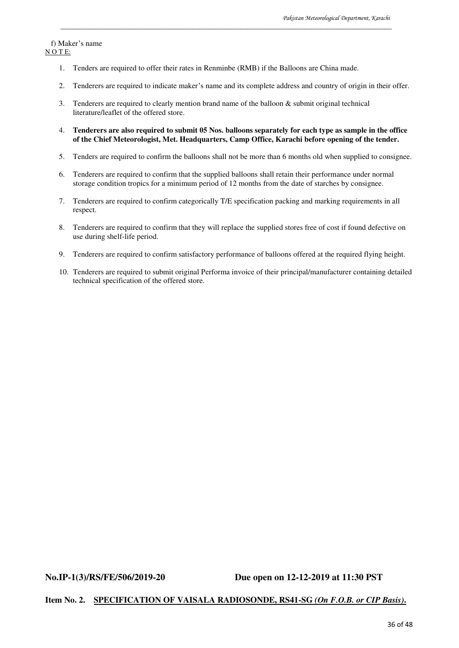f) Maker's name N O T E:

- 1. Tenders are required to offer their rates in Renminbe (RMB) if the Balloons are China made.
- 2. Tenderers are required to indicate maker's name and its complete address and country of origin in their offer.

\_\_\_\_\_\_\_\_\_\_\_\_\_\_\_\_\_\_\_\_\_\_\_\_\_\_\_\_\_\_\_\_\_\_\_\_\_\_\_\_\_\_\_\_\_\_\_\_\_\_\_\_\_\_\_\_\_\_\_\_\_\_\_\_\_\_\_\_\_\_\_\_\_\_\_\_\_\_\_\_\_\_\_\_\_\_\_\_\_\_\_\_\_\_\_\_\_\_\_\_\_\_\_

- 3. Tenderers are required to clearly mention brand name of the balloon & submit original technical literature/leaflet of the offered store.
- 4. **Tenderers are also required to submit 05 Nos. balloons separately for each type as sample in the office of the Chief Meteorologist, Met. Headquarters, Camp Office, Karachi before opening of the tender.**
- 5. Tenders are required to confirm the balloons shall not be more than 6 months old when supplied to consignee.
- 6. Tenderers are required to confirm that the supplied balloons shall retain their performance under normal storage condition tropics for a minimum period of 12 months from the date of starches by consignee.
- 7. Tenderers are required to confirm categorically T/E specification packing and marking requirements in all respect.
- 8. Tenderers are required to confirm that they will replace the supplied stores free of cost if found defective on use during shelf-life period.
- 9. Tenderers are required to confirm satisfactory performance of balloons offered at the required flying height.
- 10. Tenderers are required to submit original Performa invoice of their principal/manufacturer containing detailed technical specification of the offered store.

**No.IP-1(3)/RS/FE/506/2019-20 Due open on 12-12-2019 at 11:30 PST** 

#### **Item No. 2. SPECIFICATION OF VAISALA RADIOSONDE, RS41-SG** *(On F.O.B. or CIP Basis)***.**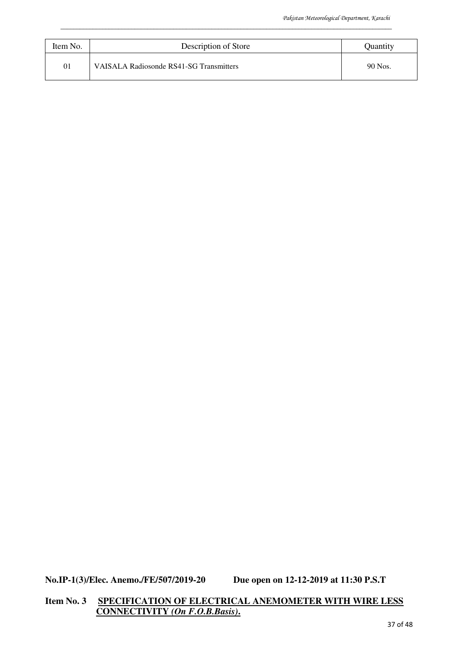| Item No.       | Description of Store                    | Quantity |
|----------------|-----------------------------------------|----------|
| 0 <sub>1</sub> | VAISALA Radiosonde RS41-SG Transmitters | 90 Nos.  |

**No.IP-1(3)/Elec. Anemo./FE/507/2019-20 Due open on 12-12-2019 at 11:30 P.S.T** 

#### **Item No. 3 SPECIFICATION OF ELECTRICAL ANEMOMETER WITH WIRE LESS CONNECTIVITY** *(On F.O.B.Basis)***.**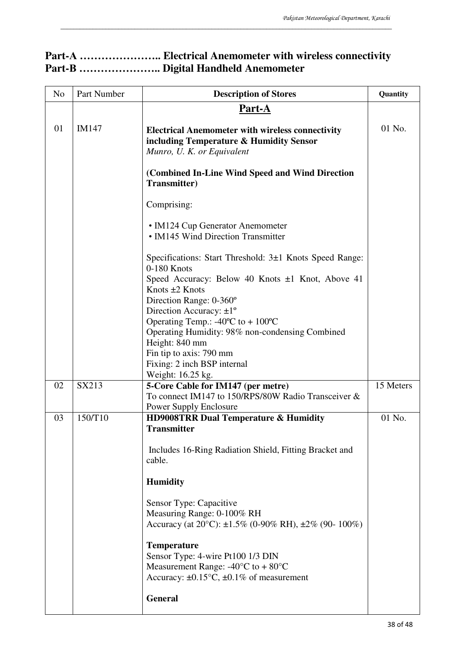# **Part-A ………………….. Electrical Anemometer with wireless connectivity Part-B ………………….. Digital Handheld Anemometer**

| N <sub>o</sub> | Part Number | <b>Description of Stores</b>                                                                                                     | Quantity  |
|----------------|-------------|----------------------------------------------------------------------------------------------------------------------------------|-----------|
|                |             | <u>Part-A</u>                                                                                                                    |           |
| 01             | IM147       | <b>Electrical Anemometer with wireless connectivity</b><br>including Temperature & Humidity Sensor<br>Munro, U. K. or Equivalent | 01 No.    |
|                |             | (Combined In-Line Wind Speed and Wind Direction<br><b>Transmitter)</b>                                                           |           |
|                |             | Comprising:                                                                                                                      |           |
|                |             | • IM124 Cup Generator Anemometer<br>• IM145 Wind Direction Transmitter                                                           |           |
|                |             | Specifications: Start Threshold: 3±1 Knots Speed Range:<br>0-180 Knots                                                           |           |
|                |             | Speed Accuracy: Below 40 Knots $\pm 1$ Knot, Above 41<br>Knots $\pm 2$ Knots                                                     |           |
|                |             | Direction Range: 0-360°                                                                                                          |           |
|                |             | Direction Accuracy: $\pm 1^{\circ}$<br>Operating Temp.: -40 $\rm ^{o}C$ to + 100 $\rm ^{o}C$                                     |           |
|                |             | Operating Humidity: 98% non-condensing Combined                                                                                  |           |
|                |             | Height: 840 mm                                                                                                                   |           |
|                |             | Fin tip to axis: 790 mm                                                                                                          |           |
|                |             | Fixing: 2 inch BSP internal<br>Weight: 16.25 kg.                                                                                 |           |
| 02             | SX213       | 5-Core Cable for IM147 (per metre)                                                                                               | 15 Meters |
|                |             | To connect IM147 to 150/RPS/80W Radio Transceiver &                                                                              |           |
| 03             | 150/T10     | <b>Power Supply Enclosure</b><br><b>HD9008TRR Dual Temperature &amp; Humidity</b>                                                | 01 No.    |
|                |             | <b>Transmitter</b>                                                                                                               |           |
|                |             | Includes 16-Ring Radiation Shield, Fitting Bracket and<br>cable.                                                                 |           |
|                |             | Humidity                                                                                                                         |           |
|                |             | Sensor Type: Capacitive<br>Measuring Range: 0-100% RH<br>Accuracy (at $20^{\circ}$ C): ±1.5% (0-90% RH), ±2% (90-100%)           |           |
|                |             | <b>Temperature</b>                                                                                                               |           |
|                |             | Sensor Type: 4-wire Pt100 1/3 DIN                                                                                                |           |
|                |             | Measurement Range: $-40^{\circ}$ C to + 80 $^{\circ}$ C<br>Accuracy: $\pm 0.15^{\circ}\text{C}$ , $\pm 0.1\%$ of measurement     |           |
|                |             |                                                                                                                                  |           |
|                |             | <b>General</b>                                                                                                                   |           |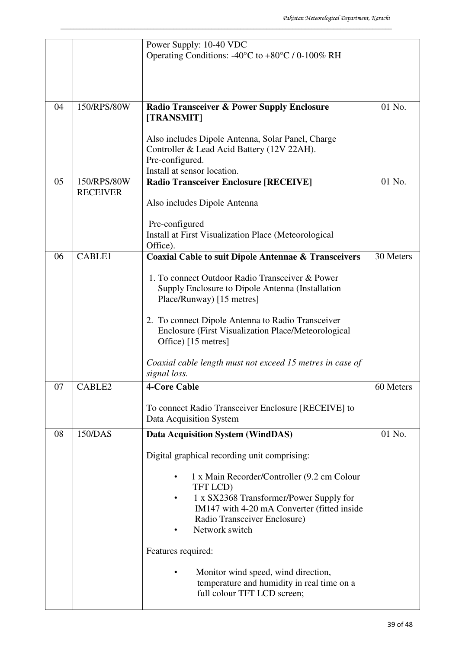|    |                                | Power Supply: 10-40 VDC<br>Operating Conditions: -40 $\degree$ C to +80 $\degree$ C / 0-100% RH                                                   |           |
|----|--------------------------------|---------------------------------------------------------------------------------------------------------------------------------------------------|-----------|
|    |                                |                                                                                                                                                   |           |
| 04 | 150/RPS/80W                    | <b>Radio Transceiver &amp; Power Supply Enclosure</b><br>[TRANSMIT]                                                                               | 01 No.    |
|    |                                | Also includes Dipole Antenna, Solar Panel, Charge<br>Controller & Lead Acid Battery (12V 22AH).<br>Pre-configured.<br>Install at sensor location. |           |
| 05 | 150/RPS/80W<br><b>RECEIVER</b> | <b>Radio Transceiver Enclosure [RECEIVE]</b>                                                                                                      | 01 No.    |
|    |                                | Also includes Dipole Antenna                                                                                                                      |           |
|    |                                | Pre-configured<br>Install at First Visualization Place (Meteorological<br>Office).                                                                |           |
| 06 | <b>CABLE1</b>                  | <b>Coaxial Cable to suit Dipole Antennae &amp; Transceivers</b>                                                                                   | 30 Meters |
|    |                                | 1. To connect Outdoor Radio Transceiver & Power<br>Supply Enclosure to Dipole Antenna (Installation<br>Place/Runway) [15 metres]                  |           |
|    |                                | 2. To connect Dipole Antenna to Radio Transceiver<br>Enclosure (First Visualization Place/Meteorological<br>Office) [15 metres]                   |           |
|    |                                | Coaxial cable length must not exceed 15 metres in case of<br>signal loss.                                                                         |           |
| 07 | CABLE2                         | <b>4-Core Cable</b>                                                                                                                               | 60 Meters |
|    |                                | To connect Radio Transceiver Enclosure [RECEIVE] to<br>Data Acquisition System                                                                    |           |
| 08 | 150/DAS                        | <b>Data Acquisition System (WindDAS)</b>                                                                                                          | 01 No.    |
|    |                                | Digital graphical recording unit comprising:                                                                                                      |           |
|    |                                | 1 x Main Recorder/Controller (9.2 cm Colour<br>٠<br>TFT LCD)                                                                                      |           |
|    |                                | 1 x SX2368 Transformer/Power Supply for<br>IM147 with 4-20 mA Converter (fitted inside<br>Radio Transceiver Enclosure)<br>Network switch          |           |
|    |                                | Features required:                                                                                                                                |           |
|    |                                | Monitor wind speed, wind direction,<br>temperature and humidity in real time on a<br>full colour TFT LCD screen;                                  |           |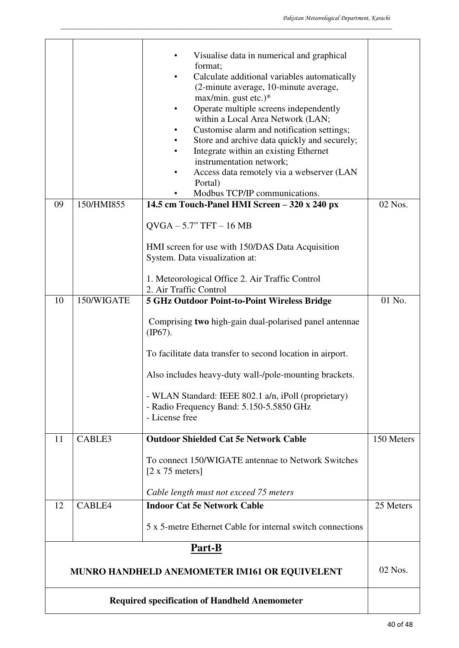|                                                      |            | Visualise data in numerical and graphical<br>format;<br>Calculate additional variables automatically<br>(2-minute average, 10-minute average,<br>max/min. gust etc.)*<br>Operate multiple screens independently<br>within a Local Area Network (LAN;<br>Customise alarm and notification settings;<br>Store and archive data quickly and securely;<br>Integrate within an existing Ethernet<br>instrumentation network;<br>Access data remotely via a webserver (LAN<br>Portal)<br>Modbus TCP/IP communications. |            |
|------------------------------------------------------|------------|------------------------------------------------------------------------------------------------------------------------------------------------------------------------------------------------------------------------------------------------------------------------------------------------------------------------------------------------------------------------------------------------------------------------------------------------------------------------------------------------------------------|------------|
| 09                                                   | 150/HMI855 | 14.5 cm Touch-Panel HMI Screen - 320 x 240 px                                                                                                                                                                                                                                                                                                                                                                                                                                                                    | 02 Nos.    |
|                                                      |            | $QVGA - 5.7" TFT - 16 MB$<br>HMI screen for use with 150/DAS Data Acquisition<br>System. Data visualization at:                                                                                                                                                                                                                                                                                                                                                                                                  |            |
|                                                      |            | 1. Meteorological Office 2. Air Traffic Control<br>2. Air Traffic Control                                                                                                                                                                                                                                                                                                                                                                                                                                        |            |
| 10                                                   | 150/WIGATE | 5 GHz Outdoor Point-to-Point Wireless Bridge                                                                                                                                                                                                                                                                                                                                                                                                                                                                     | 01 No.     |
|                                                      |            | Comprising two high-gain dual-polarised panel antennae<br>(IP67).                                                                                                                                                                                                                                                                                                                                                                                                                                                |            |
|                                                      |            | To facilitate data transfer to second location in airport.                                                                                                                                                                                                                                                                                                                                                                                                                                                       |            |
|                                                      |            | Also includes heavy-duty wall-/pole-mounting brackets.                                                                                                                                                                                                                                                                                                                                                                                                                                                           |            |
|                                                      |            | - WLAN Standard: IEEE 802.1 a/n, iPoll (proprietary)<br>- Radio Frequency Band: 5.150-5.5850 GHz<br>- License free                                                                                                                                                                                                                                                                                                                                                                                               |            |
| 11                                                   | CABLE3     | <b>Outdoor Shielded Cat 5e Network Cable</b>                                                                                                                                                                                                                                                                                                                                                                                                                                                                     | 150 Meters |
|                                                      |            | To connect 150/WIGATE antennae to Network Switches<br>$[2 \times 75 \text{ meters}]$                                                                                                                                                                                                                                                                                                                                                                                                                             |            |
|                                                      |            | Cable length must not exceed 75 meters                                                                                                                                                                                                                                                                                                                                                                                                                                                                           |            |
| 12                                                   | CABLE4     | <b>Indoor Cat 5e Network Cable</b>                                                                                                                                                                                                                                                                                                                                                                                                                                                                               | 25 Meters  |
|                                                      |            | 5 x 5-metre Ethernet Cable for internal switch connections                                                                                                                                                                                                                                                                                                                                                                                                                                                       |            |
|                                                      |            | <u>Part-B</u>                                                                                                                                                                                                                                                                                                                                                                                                                                                                                                    |            |
| <b>MUNRO HANDHELD ANEMOMETER IM161 OR EQUIVELENT</b> |            |                                                                                                                                                                                                                                                                                                                                                                                                                                                                                                                  | 02 Nos.    |
| <b>Required specification of Handheld Anemometer</b> |            |                                                                                                                                                                                                                                                                                                                                                                                                                                                                                                                  |            |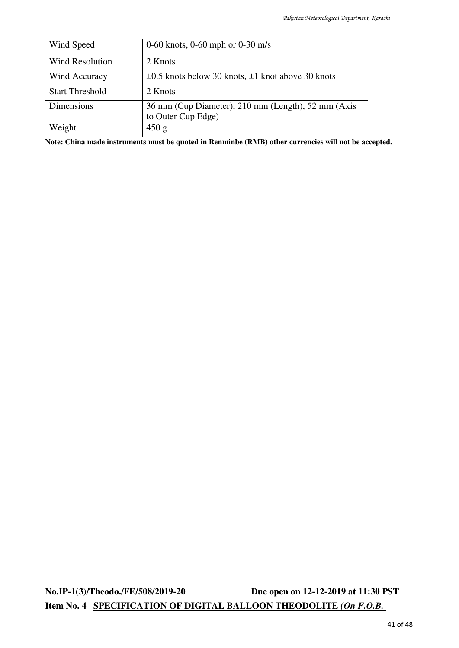| Wind Speed             | 0-60 knots, 0-60 mph or 0-30 m/s                                         |
|------------------------|--------------------------------------------------------------------------|
| Wind Resolution        | 2 Knots                                                                  |
| Wind Accuracy          | $\pm 0.5$ knots below 30 knots, $\pm 1$ knot above 30 knots              |
| <b>Start Threshold</b> | 2 Knots                                                                  |
| Dimensions             | 36 mm (Cup Diameter), 210 mm (Length), 52 mm (Axis<br>to Outer Cup Edge) |
| Weight                 | 450 g                                                                    |

**Note: China made instruments must be quoted in Renminbe (RMB) other currencies will not be accepted.**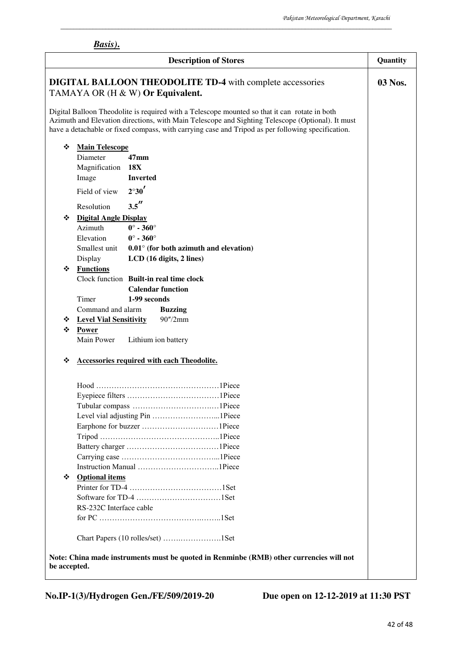|              | Basis).                                                                                                |                                                                                                                                                                                                                                                                                                        |          |
|--------------|--------------------------------------------------------------------------------------------------------|--------------------------------------------------------------------------------------------------------------------------------------------------------------------------------------------------------------------------------------------------------------------------------------------------------|----------|
|              |                                                                                                        | <b>Description of Stores</b>                                                                                                                                                                                                                                                                           | Quantity |
|              |                                                                                                        | <b>DIGITAL BALLOON THEODOLITE TD-4</b> with complete accessories<br>TAMAYA OR (H & W) Or Equivalent.                                                                                                                                                                                                   | 03 Nos.  |
|              |                                                                                                        | Digital Balloon Theodolite is required with a Telescope mounted so that it can rotate in both<br>Azimuth and Elevation directions, with Main Telescope and Sighting Telescope (Optional). It must<br>have a detachable or fixed compass, with carrying case and Tripod as per following specification. |          |
| ❖            | <b>Main Telescope</b><br>Diameter<br>Magnification<br>Image<br>Field of view<br>Resolution             | 47mm<br><b>18X</b><br><b>Inverted</b><br>$2^{\circ}30'$<br>3.5''                                                                                                                                                                                                                                       |          |
| ❖            | <b>Digital Angle Display</b><br>Azimuth<br>Elevation<br>Smallest unit<br>Display                       | $0^\circ$ - 360 $^\circ$<br>$0^\circ$ - 360 $^\circ$<br>$0.01^{\circ}$ (for both azimuth and elevation)<br>LCD (16 digits, 2 lines)                                                                                                                                                                    |          |
| ❖<br>❖<br>❖  | <b>Functions</b><br>Timer<br>Command and alarm<br><b>Level Vial Sensitivity</b><br>Power<br>Main Power | Clock function Built-in real time clock<br><b>Calendar function</b><br>1-99 seconds<br><b>Buzzing</b><br>90"/2mm<br>Lithium ion battery                                                                                                                                                                |          |
| ❖            |                                                                                                        | <b>Accessories required with each Theodolite.</b>                                                                                                                                                                                                                                                      |          |
| ❖            | <b>Optional items</b><br>RS-232C Interface cable                                                       | Level vial adjusting Pin 1Piece                                                                                                                                                                                                                                                                        |          |
| be accepted. |                                                                                                        | Note: China made instruments must be quoted in Renminbe (RMB) other currencies will not                                                                                                                                                                                                                |          |
|              |                                                                                                        |                                                                                                                                                                                                                                                                                                        |          |

**No.IP-1(3)/Hydrogen Gen./FE/509/2019-20 Due open on 12-12-2019 at 11:30 PST**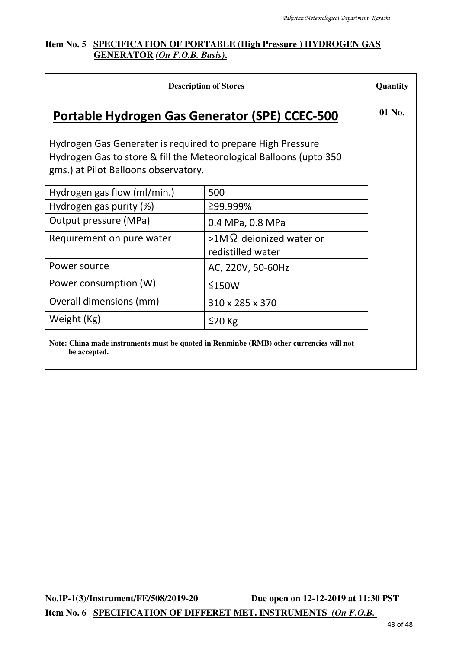#### **Item No. 5 SPECIFICATION OF PORTABLE (High Pressure ) HYDROGEN GAS GENERATOR** *(On F.O.B. Basis)***.**

| <b>Description of Stores</b>                                                                                                                                              |                                                         |  |
|---------------------------------------------------------------------------------------------------------------------------------------------------------------------------|---------------------------------------------------------|--|
| Portable Hydrogen Gas Generator (SPE) CCEC-500                                                                                                                            |                                                         |  |
| Hydrogen Gas Generater is required to prepare High Pressure<br>Hydrogen Gas to store & fill the Meteorological Balloons (upto 350<br>gms.) at Pilot Balloons observatory. |                                                         |  |
| Hydrogen gas flow (ml/min.)                                                                                                                                               | 500                                                     |  |
| Hydrogen gas purity (%)                                                                                                                                                   | ≥99.999%                                                |  |
| Output pressure (MPa)                                                                                                                                                     | 0.4 MPa, 0.8 MPa                                        |  |
| Requirement on pure water                                                                                                                                                 | $>1$ M $\Omega$ deionized water or<br>redistilled water |  |
| Power source                                                                                                                                                              | AC, 220V, 50-60Hz                                       |  |
| Power consumption (W)                                                                                                                                                     | ≤150W                                                   |  |
| Overall dimensions (mm)                                                                                                                                                   | 310 x 285 x 370                                         |  |
| Weight (Kg)                                                                                                                                                               | $\leq$ 20 Kg                                            |  |
| Note: China made instruments must be quoted in Renminbe (RMB) other currencies will not<br>be accepted.                                                                   |                                                         |  |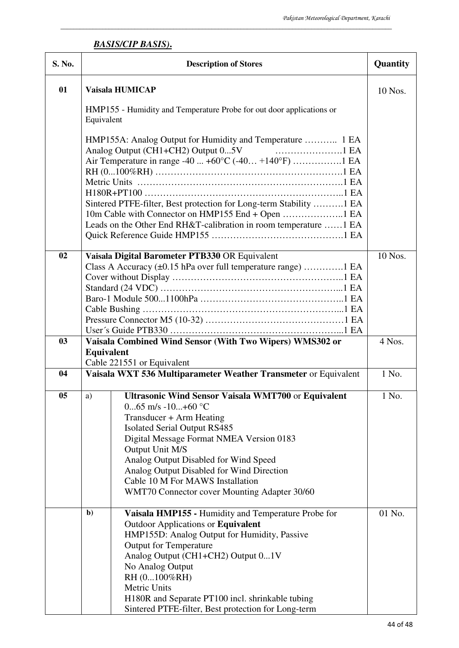### **S. No.** Description of Stores **Quantity Quantity 01 Vaisala HUMICAP**  HMP155 - Humidity and Temperature Probe for out door applications or Equivalent HMP155A: Analog Output for Humidity and Temperature ……….. 1 EA Analog Output (CH1+CH2) Output 0...5V ………………….1 EA Air Temperature in range -40 ... +60°C (-40… +140°F) …………….1 EA RH (0...100%RH) …………………………………………………….1 EA Metric Units ………………………………………………………….1 EA H180R+PT100 ………………………………………………………..1 EA Sintered PTFE-filter, Best protection for Long-term Stability ……….1 EA 10m Cable with Connector on HMP155 End + Open ………………..1 EA Leads on the Other End RH&T-calibration in room temperature ……1 EA Quick Reference Guide HMP155 …………………………………….1 EA 10 Nos. **02 Vaisala Digital Barometer PTB330** OR Equivalent Class A Accuracy (±0.15 hPa over full temperature range) ………….1 EA Cover without Display ………………………………………………..1 EA Standard (24 VDC) …………………………………………………...1 EA Baro-1 Module 500...1100hPa ………………………………………..1 EA Cable Bushing ………………………………………………………...1 EA Pressure Connector M5 (10-32) ………………………………………1 EA User´s Guide PTB330 ………………………………………………...1 EA 10 Nos. **03 Vaisala Combined Wind Sensor (With Two Wipers) WMS302 or Equivalent**  Cable 221551 or Equivalent 4 Nos. **04 Vaisala WXT 536 Multiparameter Weather Transmeter** or Equivalent 1 No. **05** a) **Ultrasonic Wind Sensor Vaisala WMT700** or **Equivalent** 0...65 m/s -10...+60  $^{\circ}$ C Transducer + Arm Heating Isolated Serial Output RS485 Digital Message Format NMEA Version 0183 Output Unit M/S Analog Output Disabled for Wind Speed Analog Output Disabled for Wind Direction Cable 10 M For MAWS Installation WMT70 Connector cover Mounting Adapter 30/60 1 No. **b) Vaisala HMP155 -** Humidity and Temperature Probe for Outdoor Applications or **Equivalent** HMP155D: Analog Output for Humidity, Passive Output for Temperature Analog Output (CH1+CH2) Output 0...1V No Analog Output RH (0...100%RH) Metric Units H180R and Separate PT100 incl. shrinkable tubing Sintered PTFE-filter, Best protection for Long-term  $01$  No.

\_\_\_\_\_\_\_\_\_\_\_\_\_\_\_\_\_\_\_\_\_\_\_\_\_\_\_\_\_\_\_\_\_\_\_\_\_\_\_\_\_\_\_\_\_\_\_\_\_\_\_\_\_\_\_\_\_\_\_\_\_\_\_\_\_\_\_\_\_\_\_\_\_\_\_\_\_\_\_\_\_\_\_\_\_\_\_\_\_\_\_\_\_\_\_\_\_\_\_\_\_\_\_

 *BASIS/CIP BASIS)***.**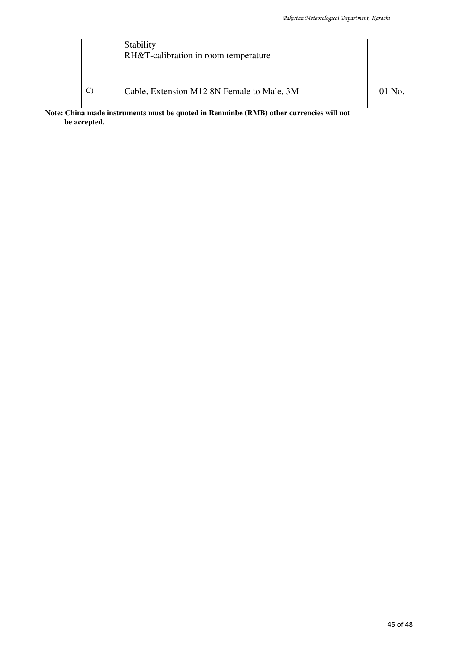|              | Stability<br>RH&T-calibration in room temperature |        |
|--------------|---------------------------------------------------|--------|
| $\mathbf{C}$ | Cable, Extension M12 8N Female to Male, 3M        | 01 No. |

**Note: China made instruments must be quoted in Renminbe (RMB) other currencies will not be accepted.**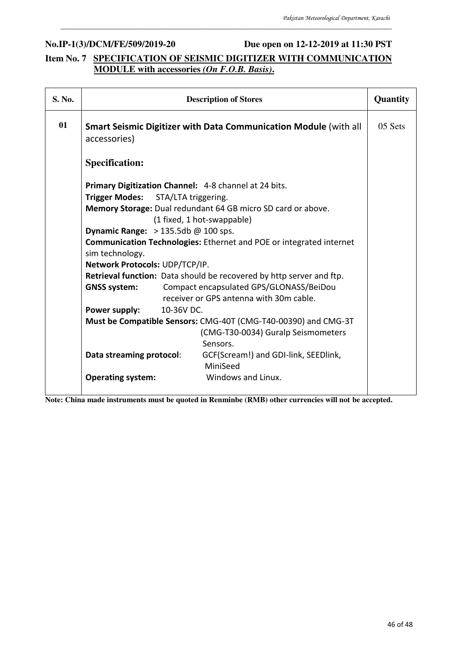#### **No.IP-1(3)/DCM/FE/509/2019-20 Due open on 12-12-2019 at 11:30 PST**

### **Item No. 7 SPECIFICATION OF SEISMIC DIGITIZER WITH COMMUNICATION MODULE with accessories** *(On F.O.B. Basis)***.**

\_\_\_\_\_\_\_\_\_\_\_\_\_\_\_\_\_\_\_\_\_\_\_\_\_\_\_\_\_\_\_\_\_\_\_\_\_\_\_\_\_\_\_\_\_\_\_\_\_\_\_\_\_\_\_\_\_\_\_\_\_\_\_\_\_\_\_\_\_\_\_\_\_\_\_\_\_\_\_\_\_\_\_\_\_\_\_\_\_\_\_\_\_\_\_\_\_\_\_\_\_\_\_

| <b>S. No.</b> | <b>Description of Stores</b>                                                                                                                                                                                                                                                                                                                                                                                                                                                                                                                                                                                                                                                                                                                                                                                                                           | Quantity |
|---------------|--------------------------------------------------------------------------------------------------------------------------------------------------------------------------------------------------------------------------------------------------------------------------------------------------------------------------------------------------------------------------------------------------------------------------------------------------------------------------------------------------------------------------------------------------------------------------------------------------------------------------------------------------------------------------------------------------------------------------------------------------------------------------------------------------------------------------------------------------------|----------|
| 01            | <b>Smart Seismic Digitizer with Data Communication Module (with all</b><br>accessories)                                                                                                                                                                                                                                                                                                                                                                                                                                                                                                                                                                                                                                                                                                                                                                | 05 Sets  |
|               | <b>Specification:</b>                                                                                                                                                                                                                                                                                                                                                                                                                                                                                                                                                                                                                                                                                                                                                                                                                                  |          |
|               | Primary Digitization Channel: 4-8 channel at 24 bits.<br>Trigger Modes: STA/LTA triggering.<br>Memory Storage: Dual redundant 64 GB micro SD card or above.<br>(1 fixed, 1 hot-swappable)<br><b>Dynamic Range:</b> $>$ 135.5db @ 100 sps.<br><b>Communication Technologies:</b> Ethernet and POE or integrated internet<br>sim technology.<br>Network Protocols: UDP/TCP/IP.<br>Retrieval function: Data should be recovered by http server and ftp.<br>Compact encapsulated GPS/GLONASS/BeiDou<br><b>GNSS system:</b><br>receiver or GPS antenna with 30m cable.<br>Power supply:<br>10-36V DC.<br>Must be Compatible Sensors: CMG-40T (CMG-T40-00390) and CMG-3T<br>(CMG-T30-0034) Guralp Seismometers<br>Sensors.<br>GCF(Scream!) and GDI-link, SEEDlink,<br>Data streaming protocol:<br>MiniSeed<br>Windows and Linux.<br><b>Operating system:</b> |          |

**Note: China made instruments must be quoted in Renminbe (RMB) other currencies will not be accepted.**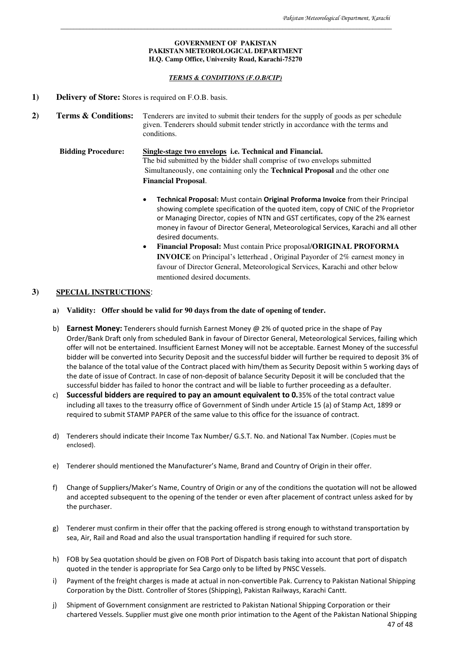#### **GOVERNMENT OF PAKISTAN PAKISTAN METEOROLOGICAL DEPARTMENT H.Q. Camp Office, University Road, Karachi-75270**

\_\_\_\_\_\_\_\_\_\_\_\_\_\_\_\_\_\_\_\_\_\_\_\_\_\_\_\_\_\_\_\_\_\_\_\_\_\_\_\_\_\_\_\_\_\_\_\_\_\_\_\_\_\_\_\_\_\_\_\_\_\_\_\_\_\_\_\_\_\_\_\_\_\_\_\_\_\_\_\_\_\_\_\_\_\_\_\_\_\_\_\_\_\_\_\_\_\_\_\_\_\_\_

#### *TERMS & CONDITIONS (F.O.B/CIP)*

- **1) Delivery of Store:** Stores is required on F.O.B. basis.
- **2) Terms & Conditions:** Tenderers are invited to submit their tenders for the supply of goods as per schedule given. Tenderers should submit tender strictly in accordance with the terms and conditions.

**Bidding Procedure: Single-stage two envelops i.e. Technical and Financial.** The bid submitted by the bidder shall comprise of two envelops submitted Simultaneously, one containing only the **Technical Proposal** and the other one **Financial Proposal**.

- **Technical Proposal:** Must contain **Original Proforma Invoice** from their Principal showing complete specification of the quoted item, copy of CNIC of the Proprietor or Managing Director, copies of NTN and GST certificates, copy of the 2% earnest money in favour of Director General, Meteorological Services, Karachi and all other desired documents.
- **Financial Proposal:** Must contain Price proposal/**ORIGINAL PROFORMA INVOICE** on Principal's letterhead , Original Payorder of 2% earnest money in favour of Director General, Meteorological Services, Karachi and other below mentioned desired documents.

#### **3) SPECIAL INSTRUCTIONS**:

- **a) Validity: Offer should be valid for 90 days from the date of opening of tender.**
- b) **Earnest Money:** Tenderers should furnish Earnest Money @ 2% of quoted price in the shape of Pay Order/Bank Draft only from scheduled Bank in favour of Director General, Meteorological Services, failing which offer will not be entertained. Insufficient Earnest Money will not be acceptable. Earnest Money of the successful bidder will be converted into Security Deposit and the successful bidder will further be required to deposit 3% of the balance of the total value of the Contract placed with him/them as Security Deposit within 5 working days of the date of issue of Contract. In case of non-deposit of balance Security Deposit it will be concluded that the successful bidder has failed to honor the contract and will be liable to further proceeding as a defaulter.
- c) **Successful bidders are required to pay an amount equivalent to 0.**35% of the total contract value including all taxes to the treasurry office of Government of Sindh under Article 15 (a) of Stamp Act, 1899 or required to submit STAMP PAPER of the same value to this office for the issuance of contract.
- d) Tenderers should indicate their Income Tax Number/ G.S.T. No. and National Tax Number. (Copies must be enclosed).
- e) Tenderer should mentioned the Manufacturer's Name, Brand and Country of Origin in their offer.
- f) Change of Suppliers/Maker's Name, Country of Origin or any of the conditions the quotation will not be allowed and accepted subsequent to the opening of the tender or even after placement of contract unless asked for by the purchaser.
- g) Tenderer must confirm in their offer that the packing offered is strong enough to withstand transportation by sea, Air, Rail and Road and also the usual transportation handling if required for such store.
- h) FOB by Sea quotation should be given on FOB Port of Dispatch basis taking into account that port of dispatch quoted in the tender is appropriate for Sea Cargo only to be lifted by PNSC Vessels.
- i) Payment of the freight charges is made at actual in non-convertible Pak. Currency to Pakistan National Shipping Corporation by the Distt. Controller of Stores (Shipping), Pakistan Railways, Karachi Cantt.
- j) Shipment of Government consignment are restricted to Pakistan National Shipping Corporation or their chartered Vessels. Supplier must give one month prior intimation to the Agent of the Pakistan National Shipping